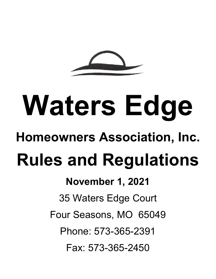# **Waters Edge**

# **Homeowners Association, Inc.**

# **Rules and Regulations**

# **November 1, 2021**

35 Waters Edge Court

Four Seasons, MO 65049

Phone: 573-365-2391

Fax: 573-365-2450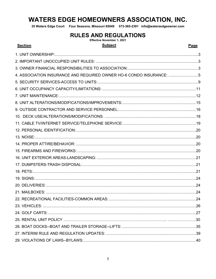## **WATERS EDGE HOMEOWNERS ASSOCIATION, INC.**

35 Waters Edge Court Four Seasons, Missouri 65049 573-365-2391 info@watersedgeowner.com

#### **RULES AND REGULATIONS**

Effective November 1, 2021 **Subject** 

#### **Section**

Page

| 4. ASSOCIATION INSURANCE AND REQUIRED OWNER HO-6 CONDO INSURANCE: 5 |  |
|---------------------------------------------------------------------|--|
|                                                                     |  |
|                                                                     |  |
|                                                                     |  |
|                                                                     |  |
|                                                                     |  |
|                                                                     |  |
|                                                                     |  |
|                                                                     |  |
|                                                                     |  |
|                                                                     |  |
|                                                                     |  |
|                                                                     |  |
|                                                                     |  |
|                                                                     |  |
|                                                                     |  |
|                                                                     |  |
|                                                                     |  |
|                                                                     |  |
|                                                                     |  |
|                                                                     |  |
|                                                                     |  |
|                                                                     |  |
|                                                                     |  |
|                                                                     |  |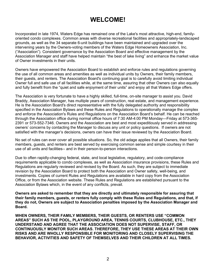### **WELCOME!**

Incorporated in late 1974, Waters Edge has remained one of the Lake's most attractive, high-end, familyoriented condo complexes. Common areas with diverse recreational facilities and appropriately-landscaped grounds, as well as the 34 separate 6-unit buildings have been maintained and upgraded over the intervening years by the Owners-voting members of the Waters Edge Homeowners Association, Inc. ("Association"). Consistent governance by the Association Board and effective management by the Association Manager and staff have helped maintain "the best of lake living" and enhance the market value of Owner investments in their units.

Owners have empowered the Association Board to establish and enforce rules and regulations governing the use of all common areas and amenities as well as individual units by Owners, their family members, their guests, and renters. The Association Board's continuing goal is to carefully avoid limiting individual Owner full and safe use of all facilities while, at the same time, assuring that other Owners can also equally and fully benefit from the "quiet and safe enjoyment of their units" and enjoy all that Waters Edge offers.

The Association is very fortunate to have a highly skilled, full-time, on-site manager to assist you. David Braddy, Association Manager, has multiple years of construction, real estate, and management experience. He is the Association Board's direct representative with the fully delegated authority and responsibility specified in the Association Bylaws and these Rules and Regulations to operationally manage the complex and enforce the Association's Rules and Regulations on the Association Board's behalf. He can be reached through the Association office during normal office hours of 7:30 AM-4:00 PM Monday—Friday at 573-365- 2391 or 573-552-7346. Owners and the Association are best and most expeditiously served in addressing owners' concerns by contacting the Manager to discuss any unit or policy questions. If owners are not satisfied with the manager's decisions, owners can have their issue reviewed by the Association Board.

No set of rules can ever cover all possible situations. So, the old adage applies that all Owners, their family members, guests, and renters are best served by exercising common sense and simple courtesy in their use of all units and facilities-- and in their person-to-person interactions.

Due to often rapidly-changing federal, state, and local legislative, regulatory, and code-compliance requirements applicable to condo complexes, as well as Association insurance provisions, these Rules and Regulations are regularly reviewed and revised by the Board. As such, they are subject to immediate revision by the Association Board to protect both the Association and Owner safety, well-being, and investments. Copies of current Rules and Regulations are available in hard copy from the Association Office, or from the Association website. These Rules and Regulations are established pursuant to the Association Bylaws which, in the event of any conflicts, prevail.

**Owners are asked to remember that they are directly and ultimately responsible for assuring that their family members, guests, or renters fully comply with these Rules and Regulations, and that, if they do not, Owners are subject to Association penalties imposed by the Association Manager and Board.** 

**WHEN OWNERS, THEIR FAMILY MEMBERS, THEIR GUESTS, OR RENTERS USE "COMMON AREAS" SUCH AS THE POOL, PLAYGROUND AREA, TENNIS COURTS, CLUBHOUSE, ETC., THEY UNDERSTAND AND AGREE THAT THE ASSOCIATION DOES NOT SUPERVISE, STAFF, OR CONTINUOUSLY MONITOR SUCH AREAS. THEREFORE, THEY USE THESE AREAS AT THEIR OWN RISKS AND ARE WHOLLY RESPONSIBLE FOR MONITORING AND CLOSELY SUPERVISING THE BEHAVIOR, ACTIVITIES AND SAFETY OF THEMSELVES AND THEIR CHILDREN AT ALL TIMES.**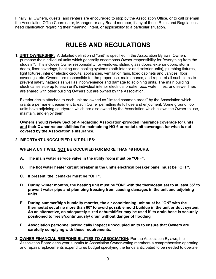Finally, all Owners, guests, and renters are encouraged to stop by the Association Office, or to call or email the Association Office Coordinator, Manager, or any Board member, if any of these Rules and Regulations need clarification regarding their meaning, intent, or applicability to a particular situation.

### **RULES AND REGULATIONS**

<span id="page-3-0"></span>**1. UNIT OWNERSHIP:** A detailed definition of "unit" is specified in the Association Bylaws. Owners purchase their individual units which generally encompass Owner responsibility for "everything from the studs in". This includes Owner responsibility for windows, sliding glass doors, exterior doors, storm doors, floor coverings, heating and cooling systems (both interior and exterior units), plumbing fixtures, light fixtures, interior electric circuits, appliances, ventilation fans, fixed cabinets and vanities, floor coverings, etc. Owners are responsible for the proper use, maintenance, and repair of all such items to prevent safety hazards as well as inconvenience and damage to adjoining units. The main building electrical service up to each unit's individual interior electrical breaker box, water lines, and sewer lines are shared with other building Owners but are owned by the Association.

Exterior decks attached to each unit are owned as "limited common areas" by the Association which grants a permanent easement to each Owner permitting its full use and enjoyment. Some ground floor units have adjoining courtyards which are also owned by the Association which allows the Owner to use, maintain, and enjoy them.

**Owners should review Section 4 regarding Association-provided insurance coverage for units and their Owner responsibilities for maintaining HO-6 or rental unit coverages for what is not covered by the Association's insurance.** 

#### <span id="page-3-1"></span>**2. IMPORTANT UNOCCUPIED UNIT RULES:**

**WHEN A UNIT WILL NOT BE OCCUPIED FOR MORE THAN 48 HOURS:**

- **A. The main water service valve in the utility room must be "OFF".**
- **B. The hot water heater circuit breaker in the unit's electrical breaker panel must be "OFF".**
- **C. If present, the icemaker must be "OFF".**
- **D. During winter months, the heating unit must be "ON" with the thermostat set to at least 55° to prevent water pipe and plumbing freezing from causing damages in the unit and adjoining units.**
- **E. During summer/high humidity months, the air conditioning unit must be "ON" with the thermostat set at no more than 80° to avoid possible mold buildup in the unit or duct system. As an alternative, an adequately-sized dehumidifier may be used if its drain hose is securely positioned to freely/continuously/ drain without danger of flooding.**
- **F. Association personnel periodically inspect unoccupied units to ensure that Owners are carefully complying with these requirements.**
- <span id="page-3-2"></span>**3. OWNER FINANCIAL RESPONSIBILITIES TO ASSOCIATION:** Per the Association Bylaws, the Association Board each year submits to Association Owner-voting members a comprehensive operating and repairs/replacements expenditures budget specifying the funds anticipated to be needed to operate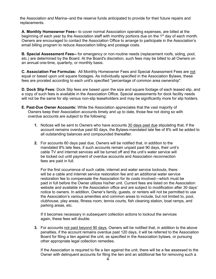the Association and Marina--and the reserve funds anticipated to provide for their future repairs and replacements.

**A. Monthly Homeowner Fees--** to cover normal Association operating expenses, are billed at the beginning of each year by the Association staff with monthly portions due on the 1<sup>st</sup> day of each month. Owners are encouraged to contact the Association Office to arrange to participate in the Association's email billing program to reduce Association billing and postage costs.

**B. Special Assessment Fees--** for emergency or non-routine needs (replacement roofs, siding, pool, etc.) are determined by the Board. At the Board's discretion, such fees may be billed to all Owners on an annual one-time, quarterly, or monthly basis.

**C. Association Fee Formulas:** All Monthly Homeowner Fees and Special Assessment Fees are not equal or based upon unit square footages. As individually specified in the Association Bylaws, these fees are prorated according to each unit's specified "percentage of common area ownership".

**D. Dock Slip Fees:** Dock Slip fees are based upon the size and square footage of each leased slip, and a copy of such fees is available in the Association Office. Special assessments for dock facility needs will not be the same for slip versus non-slip leaseholders and may be significantly more for slip holders.

- **E. Past-Due Owner Accounts:** While the Association appreciates that the vast majority of Owners keep their Association accounts timely and up to date, those few not doing so with overdue accounts are subject to the following:
	- **1.** Notices will be sent to Owners who have accounts 30 days past due stipulating that, if the account remains overdue past 60 days, the Bylaws-mandated late fee of 8% will be added to all outstanding balances and compounded thereafter.
	- **2.** For accounts 60 days past due, Owners will be notified that, in addition to the mandated 8% late fees, if such accounts remain unpaid past 90 days, their unit's cable TV and internet services will be turned off and the unit's water service will be locked out until payment of overdue accounts and Association reconnection fees are paid in full.

For the first occurrence of such cable, internet and water service lockouts, there will be a cable and internet service restoration fee and an additional water service restoration fee to compensate the Association for its costs involved—which must be paid in full before the Owner utilizes his/her unit. Current fees are listed on the Association website and available in the Association office and are subject to modification after 30 days' notice to owners. In addition, Owner's family, guests, or renters will not be permitted to use the Association's various amenities and common areas to include, but not limited to, pool, clubhouse, play areas, fitness room, tennis courts, fish cleaning station, boat ramps, and parking areas, etc.

If it becomes necessary in subsequent collection actions to lockout the services again, these fees will double.

**3.** For accounts not paid beyond 90 days, Owners will be notified that, in addition to the above penalties, if the account remains overdue past 120 days, it will be referred to the Association Board for filing a lien against the unit, as specified in the Association bylaws, or pursuing other appropriate legal collection remedies.

If the Association is required to file a lien against the unit, there will be a fee assessed to the Owner with delinquent accounts for filing the lien and an additional fee for removing such a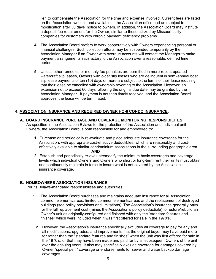lien to compensate the Association for the time and expense involved. Current fees are listed on the Association website and available in the Association office and are subject to modification after 30 days' notice to owners. In addition, the Association Board may institute a deposit fee requirement for the Owner, similar to those utilized by Missouri utility companies for customers with chronic payment deficiency problems.

- **4.** The Association Board prefers to work cooperatively with Owners experiencing personal or financial challenges. Such collection efforts may be suspended temporarily by the Association Manager if an Owner with overdue accounts will contact the Manager to make payment arrangements satisfactory to the Association over a reasonable, defined time period.
- **5.** Unless other remedies or monthly fee penalties are permitted in more-recent updated watercraft slip leases, Owners with older slip leases who are delinquent in semi-annual boat slip lease payments of ten (10) days or more are subject to the terms of their lease requiring that their lease be cancelled with ownership reverting to the Association. However, an extension not to exceed 60 days following the original due date may be granted by the Association Manager. If payment is not then timely received, and the Association Board approves, the lease will be terminated.

#### <span id="page-5-0"></span>**4. ASSOCIATION INSURANCE AND REQUIRED OWNER HO-6 CONDO INSURANCE:**

- **A. BOARD INSURANCE PURCHASE AND COVERAGE MONITORING RESPONSIBILITES:** As specified in the Association Bylaws for the protection of the Association and individual unit Owners, the Association Board is both responsible for and empowered to:
	- **1.** Purchase and periodically re-evaluate and place adequate insurance coverages for the Association, with appropriate cost-effective deductibles, which are reasonably and costeffectively available to similar condominium associations in the surrounding geographic area. **AND**
	- **2.** Establish and periodically re-evaluate/modify the minimum basic coverages and coverage levels which individual Owners and Owners who short or long-term rent their units must obtain and continuously maintain in force to insure what is not covered by the Association's insurance coverage.

#### **B. HOMEOWNERS ASSOCIATION INSURANCE:**

Per its Bylaws-mandated responsibilities and authorities:

- **1.** The Association Board purchases and maintains adequate insurance for all Association common elements/areas, limited common elements/areas and the replacement of destroyed buildings (see policy provisions and limitations). The Association's insurance generally pays for the full replacement cost (minus the Association's policy deductible) to restore/rebuild an Owner's unit as originally-configured and finished with only the "standard features and finishes" which were included when it was first offered for sale in the 1970's.
	- **2.** However, the Association's insurance specifically excludes all coverage to pay for any and all modifications, upgrades, and improvements that the original buyer may have paid more for rather than the "standard features and finishes" when the unit was first offered for sale in the 1970's, or that may have been made and paid for by all subsequent Owners of the unit over the ensuing years. It also may specifically exclude coverage for damages covered by Owner "special peril" coverage or endorsements for sewer and water backup damage coverages.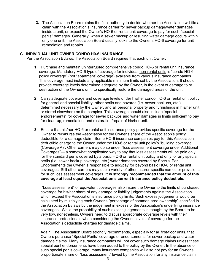**3.** The Association Board retains the final authority to decide whether the Association will file a claim with the Association's insurance carrier for sewer backup damage/water damages inside a unit, or expect the Owner's HO-6 or rental unit coverage to pay for such "special perils" damages. Generally, when a sewer backup or resulting water damage occurs within only one unit, the Association Board usually looks to the Owner's HO-6 coverage for unit remediation and repairs.

#### **C. INDIVIDUAL UNIT OWNER CONDO H0-6 INSURANCE:**

Per the Association Bylaws, the Association Board requires that each unit Owner:

- **1.** Purchase and maintain uninterrupted comprehensive condo HO-6 or rental unit insurance coverage. Mandatory HO-6 type of coverage for individual non-rental units is "condo HO-6 policy coverage" (not "apartment" coverage) available from various insurance companies. This coverage must include any applicable minimum limits set by the Association. It should provide coverage levels determined adequate by the Owner, in the event of damage to or destruction of the Owner's unit, to specifically restore the damaged areas of the unit.
- **2.** Carry adequate coverage and coverage levels under his/her condo HO-6 or rental unit policy for general and special liability, other perils and hazards (i.e. sewer backups, etc.) determined necessary by the Owner, and all personal property and furnishings in his/her unit or stored elsewhere on the complex. This coverage should also include "special endorsements" for coverage for sewer backups and water damages in limits sufficient to pay for clean-up, remediation, and restoration/repair of his/her unit.
- **3**. Ensure that his/her HO-6 or rental unit insurance policy provides specific coverage for the Owner to reimburse the Association for the Owner's share of the Association's policy deductible for a damage claim. Some HO-6 insurance companies pay for this Association deductible charge to the Owner under the HO-6 or rental unit policy's "building coverage (Coverage A)". Other carriers may do so under "loss assessment coverage under Additional Coverages"— a somewhat complicated way to say that loss assessments will be paid only for the standard perils covered by a basic HO-6 or rental unit policy and only for any special perils (i.e. sewer backup coverage, etc.) water damages covered by Special Peril Endorsements the Owner is responsible to add/pay for beyond basic HO-6 or rental unit coverages. Still other carriers may use a variety of other insurer-specific names or provisions for such loss assessment coverages. **It is strongly recommended that the amount of this coverage at least equal the Association's current insurance policy deductible.**

"Loss assessment" or equivalent coverages also insure the Owner to the limits of purchased coverage for his/her share of any damage or liability judgements against the Association which exceed the Association's insurance policy limits. Such excess judgements would be calculated by multiplying each Owner's "percentage of common area ownership" specified in the Association Bylaws by the judgement in excess of the Association's underlying insurance coverages. While the probability of such excess judgements is thought by the Board to be very low, nonetheless, Owners need to discuss appropriate coverage levels with their insurance professionals when considering the Owner's levels of coverage for the Association's deductible charges for damage claims.

Again, The Association Board strongly recommends, especially for all first-floor units, that Owners purchase "Special Perils" coverage or endorsements for sewer backup and water damage claims. Many insurance companies will not cover such damage claims unless these special peril endorsements have been added to the policy by the Owner. In the absence of such special perils coverage, many insurance companies will also not pay for an Owner's proportionate share of "loss assessment" levied by the Association for any insurance claim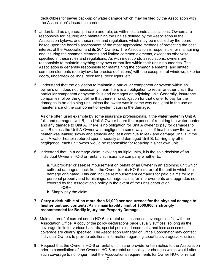deductibles for sewer back-up or water damage which may be filed by the Association with the Association's insurance carrier.

- **4.** Understand as a general principle and rule, as with most condo associations, Owners are responsible for insuring and maintaining the unit as defined by the Association in the Association bylaws, and these rules and regulations which may be modified by the board based upon the board's assessment of the most appropriate methods of protecting the best interest of the Association and its 204 Owners. The Association is responsible for maintaining and insuring the common elements and limited common elements, except as otherwise specified in these rules and regulations. As with most condo associations, owners are responsible to maintain anything they own or that lies within their unit's boundaries. The Association is generally responsible for maintaining the common elements, and limited common elements (see bylaws for precise definitions) with the exception of windows, exterior doors, underdeck ceilings, deck fans, deck lights, etc.
- **5**. Understand that the obligation to maintain a particular component or system within an owner's unit does not necessarily mean there is an obligation to repair another unit if that particular component or system fails and damages an adjoining unit. Generally, insurance companies follow the guideline that there is no obligation for that owner to pay for the damages in an adjoining unit unless the owner was in some way negligent in the use or maintenance of the component or system causing the damage.

As one often used example by some insurance professionals, if the water heater in Unit A fails and damages Unit B, the Unit A Owner bears the expense of repairing the water heater and any damage to Unit A. There is no obligation for Unit A owner to pay for damages to Unit B unless the Unit A Owner was negligent in some way— i.e. if he/she knew the water heater was leaking slowly and steadily and let it continue to leak and damage Unit B. If the Unit A water heater ruptured spontaneously and damaged Unit B, barring any other negligence, each unit owner would be responsible for repairing his/her own unit.

**6.** Understand that, in a damage claim involving multiple units, it is the sole decision of an individual Owner's HO-6 or rental unit insurance company whether to:

**a**. "Subrogate" or seek reimbursement on behalf of an Owner in an adjoining unit which suffered damages, back from the Owner (or his HO-6 insurer) of the unit in which the damage originated. This can include reimbursement demands for paid claims for lost personal property and furnishings, damage claims for improvements and upgrades not covered by the Association's policy in the event of the units destruction. **-OR--**

#### **b**. Simply pay the claim.

#### **7. Carry a deductible of no more than \$1,000 per occurrence for the physical damage to his/her unit and contents. A minimum liability limit of \$500,000 is strongly recommended for Bodily Injury and Property Damage.**

- **8.** Maintain proof of current condo HO-6 or rental unit insurance coverages on file with the Association Office. A copy of the policy declarations page usually suffices, so long as the coverage limits for various hazards, special perils endorsements, and loss assessment coverage are clearly specified. The Association Manager or Office Coordinator may contact individual Owners to provide additional information regarding specific coverages/exclusions.
- **9.** Request that the Owner's HO-6 or rental unit insurer provide written notice to the Association prior to cancellation of the Owner's HO-6 or rental unit policy, or changes which would alter such coverage to no longer meet the Association's requirements for Owner HO-6 or rental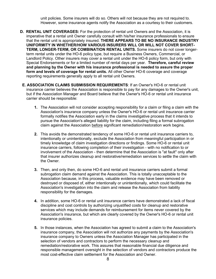unit policies. Some insurers will do so. Others will not because they are not required to. However, some insurance agents notify the Association as a courtesy to their customers.

- **D. RENTAL UNIT COVERAGES:** For the protection of rental unit Owners and the Association, it is imperative that a rental unit Owner carefully consult with his/her insurance professionals to ensure that the rental unit is appropriately insured. **THERE APPEARS TO BE NO INSURANCE INDUSTRY UNIFORMITY IN WHETHER/HOW VARIOUS INSURERS WILL OR WILL NOT COVER SHORT-TERM, LONGER-TERM, OR COMBINATION RENTAL UNITS.** Some insurers do not cover longerterm rental units under the HO-6 policy type, but require a Business Owners, Commercial, or Landlord Policy. Other insurers may cover a rental unit under the HO-6 policy form, but only with Special Endorsements or for a limited number of rental days per year. **Therefore, careful review and planning by the Owner with his insurance professional is needed to assure the proper form and levels of coverage for rental units.** All other Owner HO-6 coverage and coverage reporting requirements generally apply to all rental unit Owners.
- **E. ASSOCIATION CLAIMS SUBMISSION REQUIREMENTS**: If an Owner's HO-6 or rental unit insurance carrier believes the Association is responsible to pay for any damages to the Owner's unit, but if the Association Manager and Board believe that the Owner's HO-6 or rental unit insurance carrier should be responsible:
	- **1.** The Association will not consider accepting responsibility for a claim or filing a claim with the Association's insurance company unless the Owner's HO-6 or rental unit insurance carrier formally notifies the Association early in the claims investigative process that it intends to pursue the Association's alleged liability for the claim, including filing a formal subrogation claim against the Association before significant remediation/restoration work begins.
	- **2.** This avoids the demonstrated tendency of some HO-6 or rental unit insurance carriers to, intentionally or unintentionally, exclude the Association from meaningful participation in or timely knowledge of claim investigation directions or findings. Some HO-6 or rental unit insurance carriers, following completion of their investigation - with no notification to or involvement of the Association - then determine that the Association is "at fault" only after that insurer authorizes cleanup and restorative/remediation services to settle the claim with the Owner.
	- **3.** Then, and only then, do some HO-6 and rental unit insurance carriers submit a formal subrogation claim demand against the Association. This is totally unacceptable to the Association because, in this process, valuable evidence may have been removed or destroyed or disposed of, either intentionally or unintentionally, which could facilitate the Association's investigation into the claim and release the Association from liability responsibility for the damages.
	- **4.** In addition, some HO-6 or rental unit insurance carriers have demonstrated a lack of fiscal discipline and cost controls by authorizing unjustified costs for cleanup and restorative services which may include demands for reimbursement for items never covered by the Association's insurance, but which are clearly covered by the Owner's HO-6 or rental unit insurance policies.
	- **5.** In those instances, when the Association has agreed to submit a claim to the Association's insurance company, the Association will not authorize any payments by the Association's insurance company to Owners unless the Association Manager has participated in the selection of vendors and contractors to perform the necessary cleanup and remediation/restorative work. This assures that reasonable financial due diligence and responsible management oversight in the selection of vendors and contractors produce the most cost-effective claim settlement for the Association and Owner.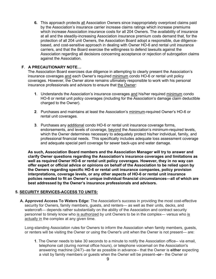**6.** This approach protects all Association Owners since inappropriately overpriced claims paid by the Association's insurance carrier increase claims ratings which increase premiums which increase Association insurance costs for all 204 Owners. The availability of insurance at all and the steadily-increasing Association insurance premium costs demand that, for the protection of all 204 unit Owners, the Association Board adopt a responsible, due diligencebased, and cost-sensitive approach in dealing with Owner HO-6 and rental unit insurance carriers, and that the Board exercise the willingness to defend lawsuits against the Association regarding all decisions concerning acceptance or rejection of subrogation claims against the Association.

#### **F**. **A PRECAUTIONARY NOTE…**

The Association Board exercises due diligence in attempting to clearly present the Association's insurance coverages and each Owner's required minimum condo HO-6 or rental unit policy coverages. However, the Owner alone remains ultimately responsible to work with his personal insurance professionals and advisors to ensure that the Owner:

- **1**. Understands the Association's insurance coverages and his/her required minimum condo HO-6 or rental unit policy coverages (including for the Association's damage claim deductible charged to the Owner).
- **2**. Purchases and maintains at least the Association's minimum-required Owner's HO-6 or rental unit coverages.
- **3**. Purchases any additional condo HO-6 or rental unit insurance coverage forms, endorsements, and levels of coverage, beyond the Association's minimum-required levels, which the Owner determines necessary to adequately protect his/her individual, family, and professional financial needs. This specifically includes adequate loss assessment coverage and adequate special peril coverage for sewer back-ups and water damage.

**As such, Association Board members and the Association Manager will try to answer and clarify Owner questions regarding the Association's insurance coverages and limitations as well as required Owner HO-6 or rental unit policy coverages. However, they in no way can offer expert or official advice or opinions on behalf of the Association to be relied upon by the Owners regarding specific HO-6 or rental unit insurance companies, policy provision interpretations, coverage levels, or any other aspects of HO-6 or rental unit insurance policies needed to fit an Owner's unique individual financial circumstances—all of which are best addressed by the Owner's insurance professionals and advisors.**

#### <span id="page-9-0"></span>**5. SECURITY SERVICES-ACCESS TO UNITS:**

**A. Approved Access To Waters Edge:** The Association's success in providing the most cost-effective security for Owners, family members, guests, and renters— as well as their units, decks, and watercraft— depends rather substantially on the ability of the Association and contract security personnel to timely know who is authorized by unit Owners to be in the complex— versus who is actually in the complex at any given time.

Long-standing Association rules for Owners to inform the Association when family members, guests, or renters will be visiting the Owner or using the Owner's unit when the Owner is not present— are:

**1**. The Owner needs to take 30 seconds to a minute to notify the Association office-- via email, telephone call (during normal office hours), or telephone voicemail on the Association's answering machine (24/7)--as far as possible in advance-- that the Owner is **either** expecting a visit by family members or guests when the Owner will be present-**-or**-- the Owner or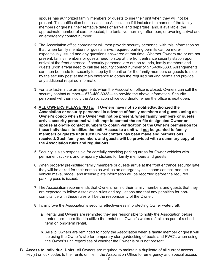spouse has authorized family members or guests to use their unit when they will not be present. This notification best assists the Association if it includes the names of the family members or guests, their tentative dates of arrival and departure, and, if available, the approximate number of cars expected, the tentative morning, afternoon, or evening arrival and an emergency contact number.

- **2**. The Association office coordinator will then provide security personnel with this information so that, when family members or guests arrive, required parking permits can be moreexpeditiously issued and any questions answered at that time. Whether Owners are or are not present, family members or guests need to stop at the front entrance security station upon arrival at the front entrance. If security personnel are out on rounds, family members and guests upon arrival need to call the security contact number of 573-480-6333. Arrangements can then be made for security to stop by the unit or for the family members or guests to stop by the security post at the main entrance to obtain the required parking permit and provide any additional required information.
- **3**. For late last-minute arrangements when the Association office is closed, Owners can call the security contact number— 573-480-6333— to provide the above information. Security personnel will then notify the Association office coordinator when the office is next open.
- **4**. **ALL OWNERS PLEASE NOTE: If Owners have not so notified/authorized the Association or security personnel in advance of family members and guests using an Owner's condo when the Owner will not be present, when family members or guests arrive, security personnel will attempt to contact the on-file designated Owner or spouse at on-file contact numbers to obtain verification of the Owner's permission for these individuals to utilize the unit. Access to a unit will not be granted to family members or guests until such Owner contact has been made and permissions received. Such family members and guests will be provided with a summary copy of the Association rules and regulations.**
- **5**. Security is also responsible for carefully checking parking areas for Owner vehicles with permanent stickers and temporary stickers for family members and guests.
- **6**. When properly pre-notified family members or guests arrive at the front entrance security gate, they will be asked for their names as well as an emergency cell phone contact, and the vehicle make, model, and license plate information will be recorded before the required parking pass is issued**.**
- **7**. The Association recommends that Owners remind their family members and guests that they are expected to follow Association rules and regulations and that any penalties for noncompliance with these rules will be the responsibility of the Owner.
- **8**. To improve the Association's security effectiveness in protecting Owner watercraft:
	- **a.** Rental unit Owners are reminded they are responsible to notify the Association before renters are permitted to utilize the rental unit Owner's watercraft slip as part of a shortterm or long-term rental.
	- **b.** All slip Owners are reminded to notify the Association when a family member or guest will be using the Owner's slip for temporary storage/docking of boats and PWC's when using the Owner's unit regardless of whether the Owner is or is not present.
- **B. Access to Individual Units:** All Owners are required to maintain a duplicate of all current access key(s) or lock codes to their units on file in the Association Office for emergency and special access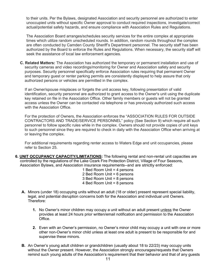to their units. Per the Bylaws, designated Association and security personnel are authorized to enter unoccupied units without specific Owner approval to conduct required inspections, investigate/correct actual/potential safety hazards, and ensure compliance with Association Rules and Regulations.

The Association Board arranges/schedules security services for the entire complex at appropriate times which utilize random unscheduled rounds. In addition, random rounds throughout the complex are often conducted by Camden County Sheriff's Department personnel. The security staff has been authorized by the Board to enforce the Rules and Regulations. When necessary, the security staff will seek the assistance of local law enforcement agencies.

**C. Related Matters:** The Association has authorized the temporary or permanent installation and use of security cameras and video recordings/monitoring for Owner and Association safety and security purposes. Security personnel specifically enforce Association rules requiring that permanent Owner and temporary guest or renter parking permits are consistently displayed to help assure that only authorized persons or vehicles are permitted in the complex.

If an Owner/spouse misplaces or forgets the unit access key, following presentation of valid identification, security personnel are authorized to grant access to the Owner's unit using the duplicate key retained on file in the Association Office. Other family members or guests will not be granted access unless the Owner can be contacted via telephone or has previously authorized such access with the Association Office.

For the protection of Owners, the Association enforces the "ASSOCIATION RULES FOR OUTSIDE CONTRACTORS AND TRADE/SERVICE PERSONNEL" policy (See Section 9) which require all such personnel to follow specific rules while in the complex. Owners should not provide copies of unit keys to such personnel since they are required to check in daily with the Association Office when arriving at or leaving the complex.

For additional requirements regarding renter access to Waters Edge and unit occupancies, please refer to Section 25.

- <span id="page-11-0"></span>**6. UNIT OCCUPANCY CAPACITY/LIMITATIONS:** The following rental and non-rental unit capacities are controlled by the regulations of the Lake Ozark Fire Protection District, Village of Four Seasons, Association Bylaws, and Association insurance requirements--and are strictly enforced:
	- 1 Bed Room Unit = 4 persons 2 Bed Room Unit = 6 persons 3 Bed Room Unit = 8 persons 4 Bed Room Unit = 8 persons
	- **A.** Minors (under 18) occupying units without an adult (18 or older) present represent special liability, legal, and potential disruption concerns both for the Association and individual unit Owners. Therefore:
		- **1.** No Owner's minor children may occupy a unit without an adult present unless the Owner provides at least 24 hours prior written/email notification and permission to the Association Office.
		- **2.** Even with an Owner's permission, no Owner's minor child may occupy a unit with one or more other non-Owner's minor child unless at least one adult is present to be responsible for and supervise these minors.
	- **B.** An Owner's young adult children or grandchildren (usually about 18 to 22/23) may occupy units without the Owner present. However, the Association strongly encourages/requests that Owners remind such young adults of the Association's requirement that their behavior and that of any guests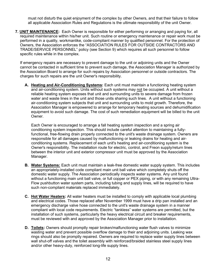must not disturb the quiet enjoyment of the complex by other Owners, and that their failure to follow all applicable Association Rules and Regulations is the ultimate responsibility of the unit Owner.

<span id="page-12-0"></span>**7. UNIT MAINTENANCE:** Each Owner is responsible for either performing or arranging and paying for, all required maintenance within his/her unit. Such routine or emergency maintenance or repair work must be performed in a quality, workmanlike, code-compliant manner by qualified personnel. For the protection of Owners, the Association enforces the "ASSOCIATION RULES FOR OUTSIDE CONTRACTORS AND TRADE/SERVICE PERSONNEL" policy (see Section 9) which requires all such personnel to follow specific rules while in the complex.

If emergency repairs are necessary to prevent damage to the unit or adjoining units and the Owner cannot be contacted in sufficient time to prevent such damage, the Association Manager is authorized by the Association Board to arrange for such repairs by Association personnel or outside contractors. The charges for such repairs are the unit Owner's responsibility.

**A. Heating and Air-Conditioning Systems:** Each unit must maintain a functioning heating system and air-conditioning system. Units without such systems may not be occupied. A unit without a reliable heating system exposes that unit and surrounding units to severe damage from frozen water and waste lines in the unit and those units sharing such lines. A unit without a functioning air-conditioning system subjects that unit and surrounding units to mold growth. Therefore, the Association Manager is empowered to arrange for temporary heating sources and dehumidification equipment to avoid such damage. The cost of such remediation equipment will be billed to the unit Owner.

Each Owner is encouraged to arrange a fall heating system inspection and a spring air conditioning system inspection. This should include careful attention to maintaining a fullyfunctional, free-flowing drain properly connected to the unit's waste drainage system. Owners are responsible for all damages caused by malfunctioning or leaking drains for heating and airconditioning systems. Replacement of each unit's heating and air-conditioning system is the Owner's responsibility. The installation route for electric, control, and Freon supply/return lines between the interior unit and exterior compressor unit must be approved by the Association Manager.

- **B. Water Systems:** Each unit must maintain a leak-free domestic water supply system. This includes an appropriately-installed code compliant main unit ball valve which completely shuts off the domestic water supply. The Association periodically inspects water systems. Any unit found without a functioning main unit ball valve, or full copper or PEX piping, or with any remaining Ultra-Flow pushbutton water system parts, including tubing and supply lines, will be required to have such non-compliant materials replaced immediately.
- **C. Hot Water Heaters:** All water heaters must be installed to comply with applicable local plumbing and electrical codes. Those replaced after November 1999 must have a drip pan installed and an emergency discharge valve hose connected to the unit's waste drainage system in a manner compliant with local code requirements. Electric "tankless" water systems are permitted, but the installation of such systems, particularly the heavy electrical circuit and breaker requirements, must be reviewed with and approved by the Association Manager prior to installation.
- **D. Toilets:** Owners should promptly repair broken/malfunctioning water flush valves to minimize wasting water and prevent possible overflow damage to their and adjoining units. Leaking wax rings should also be promptly repaired. Owners are required to replace water supply lines between wall shut-off valves and the toilet assembly with reinforced/braided stainless steel supply lines and/or other heavy-duty, reinforced long-life supply lines.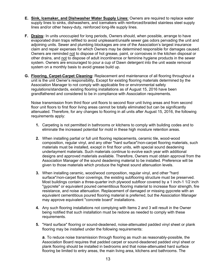- **E. Sink, Icemaker, and Dishwasher Water Supply Lines:** Owners are required to replace water supply lines to sinks, dishwashers, and icemakers with reinforced/braided stainless steel supply lines and/or other heavy-duty, reinforced long-life supply lines.
- **F. Drains:** In units unoccupied for long periods, Owners should, when possible, arrange to have evaporated drain traps refilled to avoid unpleasant/unsafe sewer gas odors pervading the unit and adjoining units. Sewer and plumbing blockages are one of the Association's largest insurance claim and repair expenses for which Owners may be determined responsible for damages caused. Owners are reminded not to dispose of hot grease, paint, or corrosives in the kitchen disposal or other drains, and not to dispose of adult incontinence or feminine hygiene products in the sewer system. Owners are encouraged to pour a cup of Dawn detergent into the unit waste removal system on a monthly basis to avoid grease build up.
- **G. Flooring, Carpet-Carpet Cleaning:** Replacement and maintenance of all flooring throughout a unit is the unit Owner's responsibility**.** Except for existing flooring materials determined by the Association Manager to not comply with applicable fire or environmental safety regulations/standards, existing flooring installations as of August 15, 2016 have been grandfathered and considered to be in compliance with Association requirements.

Noise transmission from third floor unit floors to second floor unit living areas and from second floor unit floors to first floor living areas cannot be totally eliminated but can be significantly attenuated. Therefore, for any changes to flooring in all units after August 15, 2016, the following requirements apply:

- **1.** Carpeting is not permitted in bathrooms or kitchens to comply with building codes and to eliminate the increased potential for mold in these high moisture retention areas.
- **2.** When installing partial or full unit flooring replacements, ceramic tile, wood-wood composition, regular vinyl, and any other "hard surface"/non-carpet flooring materials, such materials must be installed, except in first floor units, with special sound deadening underlayment materials. Such materials continue to evolve each year with additional designs and approved materials available. Therefore, Owners must obtain approval from the Association Manager of the sound deadening material to be installed. Preference will be given to those materials which produce the highest sound attenuation levels.
- **3.** When installing ceramic, wood/wood composition, regular vinyl, and other "hard surface"/non-carpet floor coverings, the existing subflooring structure must be preserved. Most buildings contain a three-quarter inch plywood subfloor covered by a 1 inch-1 1/2 inch "gypcrete" or equivalent poured cementitious flooring material to increase floor strength, fire resistance, and noise attenuation. Replacement of damaged or missing gypcrete with an equivalent cementitious poured flooring material is preferred, but the Association Manager may approve equivalent "concrete board" installations.
- **4.** Any such flooring installations not complying with Items 2 and 3 will result in the Owner being notified that such installation must be redone as needed to comply with these requirements.
- **5.** "Hard surface" flooring or sound-deadened, noise-attenuated padded vinyl sheet or plank flooring may be installed under the following requirements:

**a***.* To reduce noise transmission through flooring as much as reasonably-possible, the Association Board requires that padded carpet or sound-deadened padded vinyl sheet or plank flooring should be installed in bedrooms and that noise-attenuated hard surface flooring be limited to entry areas, the main living area, kitchens and bathrooms. The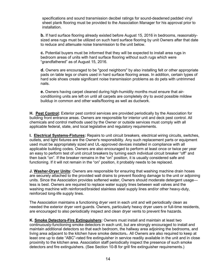specifications and sound transmission decibel ratings for sound-deadened padded vinyl sheet plank flooring must be provided to the Association Manager for his approval prior to installation.

**b.** If hard surface flooring already existed before August 15, 2016 in bedrooms, reasonablysized area rugs must be utilized on such hard surface flooring by unit Owners after that date to reduce and attenuate noise transmission to the unit below.

**c.** Potential buyers must be informed that they will be expected to install area rugs in bedroom areas of units with hard surface flooring without such rugs which were "grandfathered" as of August 15, 2016.

**d.** Owners are encouraged to be "good neighbors" by also installing felt or other appropriate pads on table legs or chairs used in hard surface flooring areas. In addition, certain types of hard sole shoes create significant noise transmission problems as do pets with untrimmed nails.

**e.** Owners having carpet cleaned during high-humidity months must ensure that airconditioning units are left on until all carpets are completely dry to avoid possible mildew buildup in common and other walls/flooring as well as ductwork.

**H. Pest Control:** Exterior pest control services are provided periodically by the Association for building front entrance areas. Owners are responsible for interior unit and deck pest control. All chemicals and control methods used by the Owner or outside services must comply with all applicable federal, state, and local legislative and regulatory requirements.

**I. Electrical Systems-Fixtures:** Repairs to unit circuit breakers, electrical wiring circuits, switches, outlets, and light fixtures are the Owner's responsibility. Any such replacement parts or equipment used must be appropriately sized and UL-approved devices installed in compliance with all applicable building codes. Owners are also encouraged to perform at least once or twice per year an easy to perform test of unit circuit breakers by turning each individual circuit breaker "off" and then back "on". If the breaker remains in the "on" position, it is usually considered safe and functioning. If it will not remain in the "on" position, it probably needs to be replaced.

**J. Washer-Dryer Units:** Owners are responsible for ensuring that washing machine drain hoses are securely attached to the provided wall drains to prevent flooding damage to the unit or adjoining units. Since the Association provides softened water, Owners should moderate detergent usage less is best. Owners are required to replace water supply lines between wall valves and the washing machine with reinforced/braided stainless steel supply lines and/or other heavy-duty, reinforced long-life supply lines.

The Association maintains a functioning dryer vent in each unit and will periodically clean as needed the exterior dryer vent guards. Owners, particularly heavy dryer users or full-time residents, are encouraged to also periodically inspect and clean dryer vents to prevent fire hazards.

**K. Smoke Detectors-Fire Extinguishers:** Owners must install and maintain at least two continuously-functioning smoke detectors in each unit, but are strongly encouraged to install and maintain additional detectors so that each bedroom, the hallway area adjoining the bedrooms, and living area adjacent to the kitchen have smoke detectors. All Owners are also required to keep at least one up to date "ABC"-rated fire extinguisher in service readily available in the unit and in close proximity to the kitchen area. Association staff periodically inspect the presence of such smoke detectors and fire extinguishers. (See Section 10-B for grill fire extinguisher requirements.)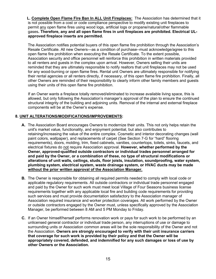**L. Complete Open Flame Fire Ban In ALL Unit Fireplaces:** The Association has determined that it is not possible from a cost or code compliance perspective to modify existing unit fireplaces to permit any open flame fires using wood logs, artificial logs or propane/natural/other flammable gases**. Therefore, any and all open flame fires in unit fireplaces are prohibited. Electrical ULapproved fireplace inserts are permitted.**

 The Association notifies potential buyers of this open flame fire prohibition through the Association's Resale Certificate. All new Owners—as a condition of purchase--must acknowledge/agree to this open flame fire prohibition when executing the Resale Certificate. To the extent possible, Association security and office personnel will reinforce this prohibition in written materials provided to all renters and guests in the complex upon arrival. However, Owners selling their units are reminded that they are ultimately responsible to notify realtors that unit fireplaces may not be used for any wood-burning or open flame fires. Rental unit Owners are ultimately responsible for notifying their rental agencies or all renters directly, if necessary, of this open flame fire prohibition. Finally, all other Owners are reminded of their responsibility to clearly inform other family members and guests using their units of this open flame fire prohibition.

If an Owner wants a fireplace totally removed/eliminated to increase available living space, this is allowed, but only following the Association's manager's approval of the plan to ensure the continued structural integrity of the building and adjoining units. Removal of the internal and external fireplace components will be at the Owner's expense.

#### <span id="page-15-0"></span>**8. UNIT ALTERATIONS/MODIFICATIONS/IMPROVEMENTS:**

- **A.** The Association Board encourages Owners to modernize their units. This not only helps retain the unit's market value, functionality, and enjoyment potential, but also contributes to retaining/increasing the value of the entire complex. Cosmetic and interior decorating changes (wall paint colors, wallpaper), and replacements of carpet (See Section 7-G for "hard" flooring requirements), doors, molding, trim, fixed cabinets, vanities, countertops, toilets, sinks, faucets, and electrical fixtures do not require Association approval. **However, whether performed by the Owner, approved-qualified outside contractors or individual trades personnel arranged for and paid by the Owner, or a combination of these, no type of structural modifications or alterations of unit walls, ceilings, studs, floor joists, insulation, soundproofing, water system, plumbing system, electrical system, waste drainage system, or HVAC ducts may be made without the prior written approval of the Association Manager.**
- **B.** The Owner is responsible for obtaining all required permits needed to comply with local code or applicable regulatory requirements. All outside contractors or individual trade personnel engaged and paid by the Owner for such work must meet local Village of Four Seasons business license requirements together with any applicable local fire and building code requirements for providing such services and must provide documentation satisfactory to the Association manager of Association required insurance and worker protection coverages. All work performed by the Owner or outside contractors engaged by the Owner must, unless specifically approved by the Association Manager, be performed between 8 AM and 5 PM Monday to Friday.
- **C.** If an Owner himself/herself performs renovation work or pays for such work to be performed by an unlicensed general contractor or individual trade person, any interruptions of use or damage to surrounding units or Association common areas will be the sole responsibility of the Owner and not the Association. **Owners are strongly encouraged to verify with their unit insurance carriers that coverage for such work is provided by their policy and that the Owner will be appropriately covered, defended, and indemnified for any such damages or loss of use by other Owners or the Association.**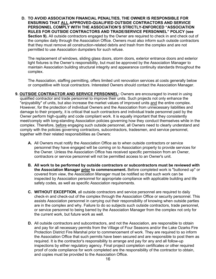**D. TO AVOID ASSOCIATION FINANCIAL PENALTIES, THE OWNER IS RESPONSIBLE FOR ENSURING THAT ALL APPROVED-QUALIFIED OUTSIDE CONTRACTORS AND SERVICE PERSONNEL COMPLY WITH THE ASSOCIATION'S STRICTLY-ENFORCED "ASSOCIATION RULES FOR OUTSIDE CONTRACTORS AND TRADE/SERVICE PERSONNEL" POLICY (see Section 9).** All outside contractors engaged by the Owner are required to check in and check out of the complex daily through the Association Office. Owners must also inform such outside contractors that they must remove all construction-related debris and trash from the complex and are not permitted to use Association dumpsters for such refuse.

The replacement of windows, sliding glass doors, storm doors, exterior entrance doors and exterior light fixtures is the Owner's responsibility, but must be approved by the Association Manager to maintain Association building structural integrity and appearance continuity standards throughout the complex.

The Association, staffing permitting, offers limited unit renovation services at costs generally below or competitive with local contractors. Interested Owners should contact the Association Manager.

- <span id="page-16-0"></span>**9. OUTSIDE CONTRACTOR AND SERVICE PERSONNEL:** Owners are encouraged to invest in using qualified contractor and trade personnel to improve their units. Such projects not only enhance the "enjoyability" of units, but also increase the market values of improved units and the entire complex. However, for the protection of individual Owners and the Association from unnecessary liabilities and damage to their property, it is critical that such contractors and individual trade personnel paid by the Owner perform high-quality and code compliant work. It is equally important that they consistently meet/comply with long-standing Association policies governing how they conduct themselves while in the complex. Therefore, before engaging such outside personnel, all Owners need to clearly understand and comply with the policies governing contractors, subcontractors, tradesmen, and service personnel, together with their related responsibilities as Owners:
	- **A.** All Owners must notify the Association Office as to when outside contractors or service personnel they have engaged will be coming on to Association property to provide services for the Owner. Unless the Association Office has received specific permission from an Owner, contractors or service personnel will not be permitted access to an Owner's unit.
	- **B. All work to be performed by outside contractors or subcontractors must be reviewed with the Association Manager prior to commencement.** Before completed work is "buttoned up" or covered from view, the Association Manager must be notified so that such work can be inspected by Association personnel for appropriate compliance with applicable building and life safety codes, as well as specific Association requirements.
	- **C. WITHOUT EXCEPTION**, all outside contractors and service personnel are required to daily check-in and check-out of the complex through the Association Office or security personnel. This assists Association personnel in carrying out their responsibility of knowing when outside parties are in the complex and why. Failure to do so subjects such outside contractors, trade personnel, or service personnel to being barred by the Association Manager from the complex not only for the current work, but future work as well.
	- **D.** All outside contractors and subcontractors, and not the Association, are responsible to obtain and pay for all necessary permits from the Village of Four Seasons and/or the Lake Ozarks Fire Protection District Fire Marshal prior to commencement of work. They are required to so inform the Association Office that such permits have been secured and are responsible to post them as required. It is the contractor's responsibility to arrange and pay for any and all follow-up inspections by either regulatory agency. Final project completion certificates or other required proof of code compliance for work completed are the responsibility of the contractor to obtain, and copies must be provided to the Association Office.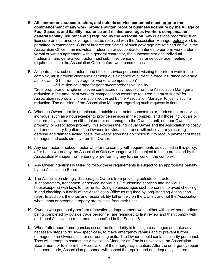- **E. All contractors, subcontractors, and outside service personnel must, prior to the commencement of any work, provide written proof of business licensure by the Village of Four Seasons and liability insurance and related coverages (workers compensation, general liability insurance etc.) required by the Association.** Any questions regarding such licensure or insurance coverage must be resolved with the Association Manager before work is permitted to commence. Current in-force certificates of such coverage are retained on file in the Association Office. If an individual tradesman or subcontractor intends to perform work under a verbal or written agreement with a general contractor, the subcontractor and individual tradesman and general contractor must submit evidence of insurance coverage meeting the required limits to the Association Office before work commences.
- **F.** All contractors, subcontractors, and outside service personnel wishing to perform work in the complex, must provide clear and unambiguous evidence of current in force insurance coverage as follows: --\$1 million coverage for workers' compensation\*

--\$1 million coverage for genera/comprehensive liability

\*Sole proprietor or single employee contractors may request from the Association Manager a reduction in the amount of workers' compensation coverage required but must submit for Association records any information requested by the Association Manager to justify such a reduction. The decision of the Association Manager regarding such requests is final.

- **G.** When an Owner permits an uninsured outside contractor, subcontractor, tradesman, or service individual such as a housekeeper to provide services in the complex, and if those individuals or their employees are then either injured or do damage to the Owner's unit, another Owner's property, or Association property, this exposes the individual Owner and the Association to costly and unnecessary litigation. If an Owner's individual insurance will not cover any resulting defense and damage award costs, the Association has no choice but to recoup payment of these damages and costs directly from the Owner.
- **H.** Any contractor or subcontractor who fails to comply with requirements as outlined in this policy, after being warned by the Association Office/Manager, will be subject to being prohibited by the Association Manager from entering or performing any further work in the complex.
- **I.** Any Owner intentionally failing to follow these requirements is subject to an appropriate penalty by the Association Board.
- **J.** The Association strongly discourages Owners from providing outside contractors, subcontractors, tradesmen, or service individuals (i.e. cleaning services and individual housekeepers) with keys to their units. Doing so encourages such personnel to avoid checkingin and checking-out daily of the Association Office as required by long-standing Association rules. In addition, the onus and responsibility fall entirely on the Owner, and not the Association, when items or personal property are missing from their units.
- **K.** Owners who personally perform renovation or improvement work, either with or without portions being completed by outside trade personnel, are reminded to first review and then comply with additional Association requirements specified in the Section 8.
- **L.** When "after hours" emergencies occur, the first priority is to mitigate damages and take any necessary steps to do so— specifically, to make emergency repairs and to prevent further damages to an Owner's unit or surrounding units. The Owner should contact security personnel. They will attempt to contact the Association Manager or, if he is unavailable, an Association Board member to inform the Association of the emergency situation. After the emergency repair has been made, Association personnel will inspect the repairs and an adequately insured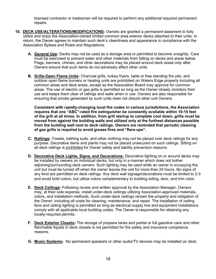licensed contractor or tradesman will be required to perform any additional required permanent repairs.

- <span id="page-18-0"></span>**10. DECK USE/ALTERATIONS/MODIFICATIONS:** Owners are granted a permanent easement to fully utilize and enjoy the Association-owned limited common area exterior decks attached to their units. In return, the Owner agrees to maintain such deck's cleanliness and appearance in compliance with the Association Bylaws and Rules and Regulations.
	- **A. General Use:** Decks may not be used as a storage area or permitted to become unsightly. Care must be exercised to prevent water and other materials from falling on decks and areas below. Flags, banners, chimes, and other decorations may be placed around deck areas only after Owners ensure that such items do not adversely affect other units.
	- **B. Grills-Open Flame Units:** Charcoal grills, turkey fryers, table or free standing fire pits, and outdoor open flame burners or heating units are prohibited on Waters Edge property including all common areas and deck areas, except as the Association Board may approve for common areas. The use of electric or gas grills is permitted so long as the Owner closely monitors their use and keeps them clear of railings and walls when in use. Owners are also responsible for ensuring that smoke generated by such units does not disturb other unit Owners.

**Consistent with rapidly-changing local fire codes in various jurisdictions, the Association requires that one "ABC"-rated fire extinguisher be constantly available within 10-15 feet of the grill at all times. In addition, from grill startup to complete cool down, grills must be moved from against the building walls and utilized only at the furthest distances possible from the building wall next to deck railings. Owners are reminded that periodic cleaning of gas grills is required to avoid grease fires and "flare-ups".**

- **C. Railings:** Towels, bathing suits, and other clothing may not be placed over deck railings for any purpose. Decorative items and plants may not be placed unsecured on such railings. Sitting on all deck railings is prohibited for Owner safety and liability prevention reasons.
- **D. Decorative Deck Lights, Signs, and Decorations:** Decorative lighting on or around decks may be installed by owners on individual decks, but only in a manner which does not bother adjoining/surrounding deck owners. Such lighting may be used while an owner is occupying the unit but must be turned off when the owner leaves the unit for more than 24 hours. No signs of any kind are permitted on deck railings. Any deck wall signage/decorations must be limited to 2-3 and avoid bold colors, but utilize colors complementary to building siding, door, and trim color.
- **E. Deck Ceilings:** Following review and written approval by the Association Manager, Owners may, at their sole expense, install under-deck ceilings utilizing Association-approved materials, colors, and installation methods. Such under-deck ceilings remain the property and obligation of the Owner, including all costs for cleaning, maintenance, and repair. The installation of ceiling fans and ceiling lighting is permitted so long as electrical supply line and equipment installations comply with all applicable local building codes. The Owner is responsible for obtaining any locally-required permits.
- **F. Deck Exterior Closets:** The storage of propane tanks and partial or full gasoline cans and other flammable liquids in deck closets is not permitted for fire safety and insurance compliance reasons.
- **G. Music Systems:** No permanent speakers or other audio/TV devices may be installed on deck.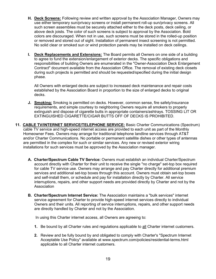- **H. Deck Screens:** Following review and written approval by the Association Manager, Owners may use either temporary sun/privacy screens or install permanent roll-up sun/privacy screens. All such screen assemblies must be securely attached either to the deck posts, deck ceiling, or above deck joists. The color of such screens is subject to approval by the Association. Bold colors are discouraged. When not in use, such screens must be stored in the rolled-up position or removed and stored out of sight. Installation of permanent insect screening is not permitted. No solid clear or smoked sun or wind protection panels may be installed on deck ceilings.
- **I. Deck Replacements and Extensions:** The Board permits all Owners on one side of a building to agree to fund the extension/enlargement of exterior decks. The specific obligations and responsibilities of building Owners are enumerated in the "Owner-Association Deck Enlargement Contract" document available from the Association Office. The removal of existing deck closets during such projects is permitted and should be requested/specified during the initial design phase.

All Owners with enlarged decks are subject to increased deck maintenance and repair costs established by the Association Board in proportion to the size of enlarged decks to original decks.

- **J. Smoking:** Smoking is permitted on decks. However, common sense, fire safety/insurance requirements, and simple courtesy to neighboring Owners require all smokers to properly extinguish and dispose of cigarette butts in appropriate containers/ashtrays. TOSSING LIT OR EXTINGUISHED CIGARETTE/CIGAR BUTTS OFF OF DECKS IS PROHIBITED.
- <span id="page-19-0"></span>**11. CABLE TV/INTERNET SERVICE/TELEPHONE SERVICE:** Basic Charter Communications (Spectrum) cable TV service and high-speed internet access are provided to each unit as part of the Monthly Homeowner Fees. Owners may arrange for traditional telephone landline services through AT&T and/or Charter Communications. No portable or permanent satellite dishes or other types of antennas are permitted in the complex for such or similar services. Any new or revised exterior wiring installations for such services must be approved by the Association manager.
	- **A. Charter/Spectrum Cable TV Service:** Owners must establish an individual Charter/Spectrum account directly with Charter for their unit to receive the single "no charge" set-top box required for cable TV service use. Owners may arrange and pay Charter directly for additional premium services and additional set-top boxes through this account. Owners must obtain set-top boxes and self-install them, or schedule and pay for installation directly by Charter. All service interruptions, repairs, and other support needs are provided directly by Charter and not by the Association
	- **B. Charter/Spectrum Internet Service:** The Association maintains a "bulk services" internet service agreement for Charter to provide high-speed internet services directly to individual Owners and their units. All reporting of service interruptions, repairs, and other support needs are directly handled by Charter and not by the Association.

In using this Charter internet access, all Owners are agreeing to:

- **1.** Be bound by all Charter rules and regulations applicable to all Charter internet customers.
- **2.** Review and be fully bound by and obligated to comply with Charter's "Spectrum Internet Acceptable Use Policy" available at www.spectrum.com/policies/residential-terms.html applicable to all Charter internet customers.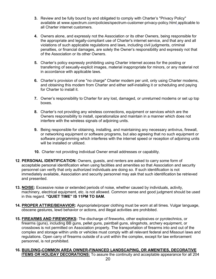- **3.** Review and be fully bound by and obligated to comply with Charter's "Privacy Policy" available at www.spectrum.com/policies/spectrum-customer-privacy-policy.html applicable to all Charter internet customers.
- **4.** Owners alone, and expressly not the Association or its other Owners, being responsible for the appropriate and legally-compliant use of Charter's internet service, and that any and all violations of such applicable regulations and laws, including civil judgments, criminal penalties, or financial damages, are solely the Owner's responsibility and expressly not that of the Association or its other Owners.
- **5.** Charter's policy expressly prohibiting using Charter internet access for the posting or transferring of sexually-explicit images, material inappropriate for minors, or any material not in accordance with applicable laws.
- **6.** Charter's provision of one "no charge" Charter modem per unit, only using Charter modems, and obtaining this modem from Charter and either self-installing it or scheduling and paying for Charter to install it.
- **7.** Owner's responsibility to Charter for any lost, damaged, or unreturned modems or set up top boxes.
- **8.** Charter's not providing any wireless connections, equipment or services which are the Owners responsibility to install, operationalize and maintain in a manner which does not interfere with the wireless signals of adjoining units.
- **9.** Being responsible for obtaining, installing, and maintaining any necessary antivirus, firewall, or networking equipment or software programs, but also agreeing that no such equipment or software programming which interferes with the internet speed or reception of adjoining units will be installed or utilized.
- **10.** Charter not providing individual Owner email addresses or capability.
- <span id="page-20-0"></span>**12**. **PERSONAL IDENTIFICATION:** Owners, guests, and renters are asked to carry some form of acceptable personal identification when using facilities and amenities so that Association and security personnel can verify that only authorized individuals are doing so. If such identification is not immediately available, Association and security personnel may ask that such identification be retrieved and presented.
- <span id="page-20-1"></span>**13. NOISE:** Excessive noise or extended periods of noise, whether caused by individuals, activity, machinery, electrical equipment, etc. is not allowed. Common sense and good judgment should be used in this regard. **"QUIET TIME" IS 11PM TO 8AM.**
- <span id="page-20-2"></span>**14. PROPER ATTIRE/BEHAVIOR:** Appropriate/proper clothing must be worn at all times. Vulgar language, obscene gestures, lewd behavior or actions, and illegal activities are prohibited.
- <span id="page-20-3"></span>**15. FIREARMS AND FIREWORKS:** The discharge of fireworks, other explosives or pyrotechnics, or firearms (guns), including BB guns, pellet guns, paintball guns, slingshots, archery equipment, or crossbows is not permitted on Association property. The transportation of firearms into and out of the complex and storage within units or vehicles must comply with all relevant federal and Missouri laws and regulations. Open carry of firearms outside of a unit within the complex, except for law enforcement personnel, is not prohibited.
- **16. BUILDING-COMMON AREA OWNER-FINANCED LANDSCAPING, OR AMENITIES, DECORATIVE ITEMS OR HOLIDAY DECORATIONS:** To assure the continuity and acceptable appearance for all 204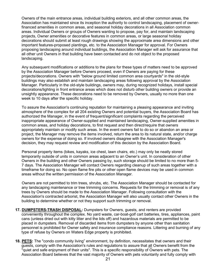Owners of the main entrance areas, individual building exteriors, and all other common areas, the Association has maintained since its inception the authority to control landscaping, placement of ownerfinanced amenities in common areas, and seasonal holiday decorations in all Association common areas. Individual Owners or groups of Owners wanting to propose, pay for, and maintain landscaping projects, Owner amenities or decorative features in common areas, or large seasonal holiday decorations should submit at least rough drawings showing the approximate area dimensions and other important features-proposed plantings, etc. to the Association Manager for approval. For Owners proposing landscaping around individual buildings, the Association Manager will ask for assurance that all other unit Owners in that building have been contacted and do not object to the proposed landscaping.

 Any subsequent modifications or additions to the plans for these types of matters need to be approved by the Association Manager before Owners proceed, even if Owners are paying for these projects/decorations. Owners with "below ground limited common area courtyards" in the old-style buildings may also establish and maintain landscaping areas following approval by the Association Manager. Particularly in the old-style buildings, owners may, during recognized holidays, install special decorations/lighting in front entrance areas which does not disturb other building owners or provide an unsightly appearance. These decorations need to be removed by Owners, usually no more than one week to 10 days after the specific holiday.

 To assure the Association's continuing reputation for maintaining a pleasing appearance and inviting atmosphere of the complex for all 204 existing Owners and potential buyers, the Association Board has authorized the Manager, in the event of frequent/significant complaints regarding the perceived inappropriate appearance of Owner-supplied and maintained landscaping, Owner-supplied amenities in common areas, and holiday decorations, to first request and then direct/require that owners appropriately maintain or modify such areas. In the event owners fail to do so or abandon an area or project, the Manager may remove the items involved, return the area to its natural state, and/or charge owners for the expense of doing so. If involved owners disagree with the Association Manager's decision, they may request review and modification of this decision by the Association Board.

 Personal property items (bikes, kayaks, ice chest, lawn chairs, etc.) may only be neatly stored temporarily outside of units in common areas adjacent to an Owner's unit. In consideration of other Owners in the building and other Owners passing by, such storage should be limited to no more than 5- 7 days. The Association Manager will contact Owners regarding cleanup of such areas together with a timeframe for doing so. No open flame fire pits or other open flame devices may be used in common areas without the written permission of the Association Manager.

 Owners are not permitted to trim trees, shrubs, etc. The Association Manager should be contacted for any landscaping maintenance or tree trimming concerns. Requests for the trimming or removal is of any trees by Owners should be made to the Association Manager. Following consultation with the Association's contracted arborist, the Association Manager will also usually contact other Owners in the building to determine whether or not they support such trimming or removal.

- <span id="page-21-0"></span>**17. DUMPSTERS-TRASH DISPOSAL:** Dumpsters for Owners, guests, and renters are provided conveniently throughout the complex. No yard waste, car-boat-golf cart batteries, tires, appliances, paint cans (unless dried out with kitty litter and the lids off) and hazardous materials are permitted to be placed in dumpsters. Removal of discarded items from dumpsters by anyone other than sanitation personnel is prohibited for Owner safety and insurance compliance reasons. Littering and burning of any type of refuse by Owners on Waters Edge property is prohibited.
- <span id="page-21-1"></span>**18. PETS:** The "condo community living" environment, by definition, necessitates that owners and their guests, comply with the Association's rules and regulations to assure that all Owners benefit from the "quiet and safe enjoyment of their units". This is a specific responsibility of Owners with pets. The Association Board believes that the vast majority of Owners with pets voluntarily and fully comply with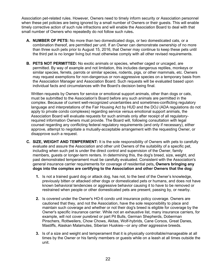Association pet-related rules. However, Owners need to timely inform security or Association personnel when these pet policies are being ignored by a small number of Owners or their guests. This will enable timely corrective action of such rule infractions and will enable the Association Board to deal with that small number of Owners who repeatedly do not follow such rules**.** 

- **A. NUMBER OF PETS:** No more than two domesticated dogs, or two domesticated cats, or a combination thereof, are permitted per unit. If an Owner can demonstrate ownership of no more than three such pets prior to August 15, 2016, that Owner may continue to keep these pets until the third pet is no longer living but must otherwise comply with all other revised requirements.
- **B. PETS NOT PERMITTED:** No exotic animals or species, whether caged or uncaged, are permitted. By way of example and not limitation, this includes dangerous reptiles, monkeys or similar species, ferrets, parrots or similar species, rodents, pigs, or other mammals, etc. Owners may request exemptions for non-dangerous or non-aggressive species on a temporary basis from the Association Manager and Association Board. Such requests will be evaluated based upon individual facts and circumstances with the Board's decision being final.

Written requests by Owners for service or emotional support animals, other than dogs or cats, must be submitted to the Association's Board before any such animals are permitted in the complex. Because of current well-recognized uncertainties and sometimes-conflicting regulatory language and interpretations of the Fair Housing Act by HUD and the DOJ (ADA regulations do not apply to private condo complexes) regarding service versus emotional support animals, the Association Board will evaluate requests for such animals only after receipt of all regulatoryrequired information Owners must provide. The Board will, following consultation with legal counsel regarding any conflicting federal regulatory requirements (and only if necessary), either approve, attempt to negotiate a mutually-acceptable arrangement with the requesting Owner, or disapprove such a request.

- **C. SIZE, WEIGHT AND TEMPERMENT:** It is the sole responsibility of Owners with pets to carefully evaluate and assure the Association and other unit Owners of the suitability of a specific pet, including when such pet is under the direct control and supervision of the Owner, family members, guests or longer-term renters. In determining this, the dog's breed, size, weight, and past demonstrated temperament must be carefully evaluated. Consistent with the Association's general insurance carrier requirements for coverage of residential pets**, Owners bringing any dogs into the complex are certifying to the Association and other Owners that the dog:**
	- **1.** Is not a trained guard dog or attack dog, has not, to the best of the Owner's knowledge, previously bitten or attacked other dogs or domesticated pets or humans, and does not have known behavioral tendencies or aggressive behavior causing it to have to be removed or restrained when people or other domesticated pets are present, passing by, or nearby.
	- **2.** Is covered under the Owner's HO-6 condo unit insurance policy coverage. Owners are cautioned that they, and not the Association, have the sole responsibility to place and maintain such coverage and whether or not their dog's breed is eligible for coverage by the Owner's specific insurance carrier. While not an exhaustive list, many insurance carriers, for example, will not cover purebred or part Pit Bulls, German Shepherds, Doberman Pinschers, Rottweilers, Chow Chows, Akitas, Wolf-hybrids, Cane Corsos, Great Danes, Mastiffs, Alaskan Malamutes, Siberian Huskies—or any other aggressive breeds.
	- **3.** Is of a size and weight and temperament that it is physically controllable/manageable at all times by the Owner or his family members or guests while on a leash at all times outside the unit.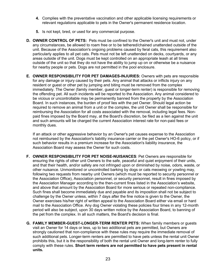- **4.** Complies with the preventative vaccination and other applicable licensing requirements or relevant regulations applicable to pets in the Owner's permanent residence location.
- **5.** Is not kept, bred, or used for any commercial purpose.
- **D. OWNER CONTROL OF PETS:** Pets must be confined to the Owner's unit and must not, under any circumstances, be allowed to roam free or to be tethered/chained unattended outside of the unit. Because of the Association's ongoing problems caused by feral cats, this requirement also particularly applies to all pet cats. Pets must not be left unattended on decks, courtyards, or any areas outside of the unit. Dogs must be kept controlled on an appropriate leash at all times outside of the unit so that they do not have the ability to jump up on or otherwise be a nuisance for nearby people or pets. Dogs are not permitted in the pool enclosure.
- **E. OWNER RESPONSIBILITY FOR PET DAMAGES-INJURIES:** Owners with pets are responsible for any damage or injury caused by their pets. Any animal that attacks or inflicts injury on any resident or guest or other pet by jumping and biting must be removed from the complex immediately. The Owner (family member, guest or longer-term renter) is responsible for removing the offending pet. All such incidents will be reported to the Association. Any animal considered to be vicious or uncontrollable may be permanently banned from the property by the Association Board. In such instances, the burden of proof lies with the pet Owner. Should legal action be required to remove an animal from a unit or the complex, the unit Owner shall be responsible for reimbursing the Association for all costs associated with the removal, including legal fees. Nonpaid fines imposed by the Board may, at the Board's discretion, be filed as a lien against the unit and such amounts will be charged the current Association interest rate for non-paid fees or monthly dues.

If an attack or other aggressive behavior by an Owner's pet causes expense to the Association not reimbursed by the Association's liability insurance carrier or the pet Owner's HO-6 policy, or if such behavior results in a premium increase for the Association's liability insurance, the Association Board may assess the Owner for such costs.

- **F. OWNER RESPONSIBILITY FOR PET NOISE-NUISANCES**: Pet Owners are responsible for ensuring the rights of other unit Owners to the safe, peaceful and quiet enjoyment of their units, and that their health, and/or safety are not infringed upon or diminished by noise, odors, waste, or other nuisance. Unmonitored or uncontrolled barking by dogs or cats meowing or yowling may, following two requests from nearby unit Owners (which must be reported to security personnel or the Association Office), Association personnel, or security personnel, result in fines imposed by the Association Manager according to the then-current fines listed in the Association's website, and above that amount by the Association Board for more serious or repeated non-compliance. Such fines shall become immediately due and payable and its imposition shall not be subject to challenge by the Owner unless, within 7 days after the fine notice is given to the Owner, the Owner exercises his/her right of written appeal to the Association Board either via email or hard mail to the Association Office. Any dog Owner violating these policies four times in any 12-month period will also be subject, upon 30 days written notice by the Association Board, to banning of the pet from the complex. In all such matters, the Board's decision is final.
- **G. FAMILY MEMBER-GUEST-LONGER-TERM RENTER PETS:** When family members or guests visit an Owner for 14 days or less, up to two additional pets are permitted, but Owners are strongly cautioned that non-compliance with these rules may require the immediate removal of such additional pets. Longer-term renters are permitted to have pets unless the rental unit Owner prohibits this, but it is the responsibility of both the rental unit Owner and long-term renter to fully comply with these rules. **Short term renters are not permitted to have pets present in rental units.**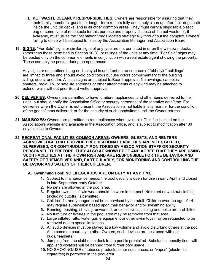- **H. PET WASTE CLEANUP RESPONSIBILITIES**: Owners are responsible for assuring that they, their family members, guests, or longer-term renters fully and timely clean up after their dogs both inside the unit, on decks, and in all other common areas. They must carry a disposable plastic bag or some type of receptacle for this purpose and properly dispose of the pet waste, or, if available, must utilize the "pet station" bags located strategically throughout the complex. Owners failing to do so will be subject to fines by the Association Manager and Association Board.
- <span id="page-24-0"></span>**19. SIGNS:** "For Sale" signs or similar signs of any type are not permitted in or on the windows, decks (other than those permitted in Section 10.D), or railings of the units at any time. "For Sale" signs may be posted only on the common elements in conjunction with a real estate agent showing the property. These can only be posted during an open house.

 Any signs or decorations hung or displayed in unit front entrance areas of "old-style" buildings" are limited to three and should avoid bold colors but use colors complimentary to the building siding, doors, and trim. All such signs are subject to Board approval. No awnings, canopies, shutters, radio, TV, or satellite antennas or other attachments of any kind may be attached to exterior walls without prior Board written approval.

- <span id="page-24-1"></span>**20. DELIVERIES:** Owners are permitted to have furniture, appliances, and other items delivered to their units, but should notify the Association Office or security personnel of the tentative date/time. For deliveries when the Owner is not present, the Association is not liable in any manner for the condition of the goods/items delivered, or for the security of such goods/items until the Owner returns.
- **21. MAILBOXES:** Owners are permitted to rent mailboxes when available. This fee is listed on the Association's website and available in the Association office, and is subject to modification after 30 days' notice to Owners
- **22. RECREATIONAL FACILITIES-COMMON AREAS: OWNERS, GUESTS, AND RENTERS ACKNOWLEDGE THAT PROVIDED RECREATIONAL FACILITIES ARE NOT STAFFED, SUPERVISED, OR CONTINUOUSLY MONITORED BY ASSOCIATION STAFF OR SECURITY PERSONNEL. THEREFORE, THEY ALSO ACKNOWLEDGE AND AGREE THAT THEY ARE USING SUCH FACILITIES AT THEIR OWN RISK AND ARE RESPONSIBLE FOR THE BEHAVIOR AND SAFETY OF THEMSELVES AND, PARTICULARLY, FOR MONITORING AND CONTROLLING THE BEHAVIOR AND SAFETY OF THEIR CHILDREN.**

#### **A. Swimming Pool: NO LIFEGUARDS ARE ON DUTY AT ANY TIME.**

- <span id="page-24-3"></span><span id="page-24-2"></span>**1.** Subject to maintenance needs, the pool usually is open for use in early April and closed in late September-early October.
- **2.** No pets are allowed in the pool area.
- **3.** Regular swimsuits/swimwear should be worn in the pool. No street or workout clothing (including cutoffs) is permitted.
- **4.** Children 14 and younger must be supervised by an adult. Children over the age of 14 may require supervision based upon their behavior and/or swimming ability.
- **5.** Running, pushing, shoving, unwanted, or excessive splashing and noise are prohibited.
- **6.** No furniture or fixtures in the pool area may be removed from that area.
- **7.** Large inflated rafts, water game equipment or other swim toys may be requested to be removed due to space limitations.
- **8.** All audio devices must be played at a low volume and avoid disturbing others at the pool. As a common courtesy to other Owners, such devices are best used with ear buds/headsets.
- **9.** Jumping from the clubhouse deck to the pool is prohibited. Substantial penalty fines will appl and violators will be banned from further pool usage.
- **10.** NO SMOKING/USE of tobacco products, other substances, or "vapes" (electronic cigarettes) is permitted in the pool area.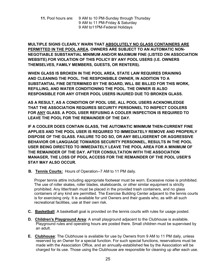**11.** Pool hours are: 9 AM to 10 PM-Sunday through Thursday 9 AM to 11 PM-Friday & Saturday 9 AM to11PM-Federal Holidays

**MULTIPLE SIGNS CLEARLY WARN THAT ABSOLUTELY NO GLASS CONTAINERS ARE PERMITTED IN THE POOL AREA. OWNERS ARE SUBJECT TO AN AUTOMATIC NON-NEGOTIABLE SUBSTANTIAL MINIMUM AND/OR MAXIMUM FINE (LISTED ON ASSOCIATION WEBSITE) FOR VIOLATION OF THIS POLICY BY ANY POOL USERS (I.E. OWNERS THEMSELVES, FAMILY MEMBERS, GUESTS, OR RENTERS).**

**WHEN GLASS IS BROKEN IN THE POOL AREA, STATE LAW REQUIRES DRAINING AND CLEANING THE POOL. THE RESPONSIBLE OWNER, IN ADDITION TO A SUBSTANTIAL FINE DETERMINED BY THE BOARD, WILL BE BILLED FOR THIS WORK, REFILLING, AND WATER CONDITIONING THE POOL. THE OWNER IS ALSO RESPONSIBLE FOR ANY OTHER POOL USERS INJURED DUE TO BROKEN GLASS.**

**AS A RESULT, AS A CONDITION OF POOL USE, ALL POOL USERS ACKNOWLEDGE THAT THE ASSOCIATION REQUIRES SECURITY PERSONNEL TO INSPECT COOLERS FOR ANY GLASS. A POOL USER REFUSING A COOLER INSPECTION IS REQUIRED TO LEAVE THE POOL FOR THE REMAINDER OF THE DAY.** 

**IF A COOLER DOES CONTAIN GLASS, THE AUTOMATIC MINIMUM THEN-CURRENT FINE APPLIES AND THE POOL USER IS REQUIRED TO IMMEDIATELY REMOVE AND PROPERLY DISPOSE OF THE GLASS. FAILURE TO DO SO, OR ANY BELLIGERENT OR AGGRESSIVE BEHAVIOR OR LANGUAGE TOWARDS SECURITY PERSONNEL, RESULTS IN THE POOL USER BEING DIRECTED TO IMMEDIATELY LEAVE THE POOL AREA FOR A MINIMUM OF THE REMAINDER OF THE DAY. AFTER CONSULTATION WITH THE ASSOCIATION MANAGER, THE LOSS OF POOL ACCESS FOR THE REMAINDER OF THE POOL USER'S STAY MAY ALSO OCCUR.**

 **B. Tennis Courts:** Hours of Operation--7 AM to 11 PM daily.

Proper tennis attire including appropriate footwear must be worn. Excessive noise is prohibited. The use of roller skates, roller blades, skateboards, or other similar equipment is strictly prohibited. Any litter/trash must be placed in the provided trash containers, and no glass containers of any kind are permitted. The Exercise Building Center adjacent to the tennis courts is for exercising only. It is available for unit Owners and their guests who, as with all such recreational facilities, use at their own risk.

- **C. Basketball**: A basketball goal is provided on the tennis courts with rules for usage posted.
- **D. Children's Playground Area**: A small playground adjacent to the Clubhouse is available. Playground rules and operating hours are posted there. Small children must be supervised by an adult.
- **E. Clubhouse**: The Clubhouse is available for use by Owners from 9 AM to 11 PM daily, unless reserved by an Owner for a special function. For such special functions, reservations must be made with the Association Office, and an annually-established fee by the Association will be charged for its use. Those using the Clubhouse are responsible for cleaning up after each use.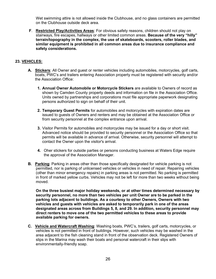Wet swimming attire is not allowed inside the Clubhouse, and no glass containers are permitted on the Clubhouse outside deck area.

**F**. **Restricted Play/Activities Areas**: For obvious safety reasons, children should not play on stairways, fire escapes, hallways or other limited common areas. **Because of the very "hilly" terrain/topography in the complex, the use of skateboards, scooters, roller blades, and similar equipment is prohibited in all common areas due to insurance compliance and safety considerations.**

#### <span id="page-26-0"></span>**23. VEHICLES:**

- **A. Stickers**: All Owner and guest or renter vehicles including automobiles, motorcycles, golf carts, boats, PWC's and trailers entering Association property must be registered with security and/or the Association Office:
	- **1. Annual Owner Automobile or Motorcycle Stickers** are available to Owners of record as shown by Camden County property deeds and information on file in the Association Office. Units owned by partnerships and corporations must file appropriate paperwork designating persons authorized to sign on behalf of their unit.
	- **2. Temporary Guest Permits** for automobiles and motorcycles with expiration dates are issued to guests of Owners and renters and may be obtained at the Association Office or from security personnel at the complex entrance upon arrival.
	- **3.** Visitor Permits for automobiles and motorcycles may be issued for a day or short visit. Advanced notice should be provided to security personnel or the Association Office so that permits will be available in advance of arrival. Otherwise, security personnel will attempt to contact the Owner upon the visitor's arrival.
	- **4.** Oher stickers for outside parties or persons conducting business at Waters Edge require the approval of the Association Manager.
- **B. Parking**: Parking in areas other than those specifically designated for vehicle parking is not permitted, nor is parking of unlicensed vehicles or vehicles in need of repair. Repairing vehicles (other than minor emergency repairs) in parking areas is not permitted. No parking is permitted in front of marked yellow curbs. Vehicles may not be left for more than two weeks without being moved.

**On the three busiest major holiday weekends, or at other times determined necessary by security personnel, no more than two vehicles per unit Owner are to be parked in the parking lots adjacent to buildings. As a courtesy to other Owners, Owners with two vehicles and guests with vehicles are asked to temporarily park in one of the areas designated areas across from Buildings 5, 8, and 29. In addition, security personnel may direct renters to move one of the two permitted vehicles to these areas to provide available parking for owners.**

**C. Vehicle and Watercraft Washing**: Washing boats, PWC's, trailers, golf carts, motorcycles, or vehicles is not permitted in front of buildings. However, such vehicles may be washed in the area adjacent to the fish cleaning stand in front of the observation deck. Registered Owners of slips in the Marina may wash their boats and personal watercraft in their slips with environmentally-friendly soap.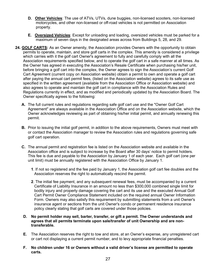- **D. Other Vehicles**: The use of ATVs, UTVs, dune buggies, non-licensed scooters, non-licensed motorcycles, and other non-licensed or off-road vehicles is not permitted on Association property.
- **E. Oversized Vehicles**: Except for unloading and loading, oversized vehicles must be parked for a maximum of seven days in the designated areas across from Buildings 5, 28, and 29.
- <span id="page-27-0"></span>**24. GOLF CARTS:** As an Owner amenity, the Association provides Owners with the opportunity to obtain permits to operate, maintain, and store golf carts in the complex. This amenity is considered a privilege which carries with it the golf cart Owner's agreement to fully and carefully comply with all the Association requirements specified below, and to operate the golf cart in a safe manner at all times. As the Owner has agreed in executing the Association's Resale Certificate when purchasing his/her unit, before bringing a golf cart into the complex, the Owner agrees to sign the Association's current Golf Cart Agreement (current copy on Association website) obtain a permit to own and operate a golf cart after paying the annual cart permit fees, (listed on the Association website) agrees to its safe use as specified in the written agreement (available from the Association Office or Association website) and also agrees to operate and maintain the golf cart in compliance with the Association Rules and Regulations currently in effect, and as modified and periodically updated by the Association Board. The Owner specifically agrees to the following:
	- **A.** The full current rules and regulations regarding safe golf cart use and the "Owner Golf Cart Agreement" are always available in the Association Office and on the Association website, which the Owner acknowledges reviewing as part of obtaining his/her initial permit, and annually renewing this permit.
	- **B.** Prior to issuing the initial golf permit, in addition to the above requirements, Owners must meet with or contact the Association manager to review the Association rules and regulations governing safe golf cart operation.
	- **C.** The annual permit and registration fee is listed on the Association website and available in the Association office and is subject to increase by the Board after 30 days' notice to permit holders. This fee is due and payable to the Association by January 1 of each year. Each golf cart (one per unit limit) must be annually registered with the Association Office by January 1.
		- **1**. If not so registered and the fee paid by January 1, the Association golf cart fee doubles and the Association reserves the right to automatically rescind the permit.
		- **2**. The initial fee payment, and any subsequent renewal fees, must be accompanied by a current Certificate of Liability Insurance in an amount no less than \$300,000 combined single limit for bodily injury and property damage covering the cart and its use and the executed Annual Golf Cart Permit Owner Compliance Statement included on the required annual Owner Information Form. Owners may also satisfy this requirement by submitting statements from a unit Owner's insurance agent or sections from the unit Owner's condo or permanent residence insurance policy clearly stating that golf carts are covered under those policies.
	- **D. No permit holder may sell, barter, transfer, or gift a permit. The Owner understands and agrees that all permits terminate upon sale/transfer of unit Ownership and are nontransferable.**
	- **E.** The Association reserves the right to tow and store, at an Owner's expense, any unregistered cart or cart not displaying a current permit number, and to levy appropriate financial penalties.
	- **F. No children under 16 or Owners without a valid driver's license are permitted to operate carts.**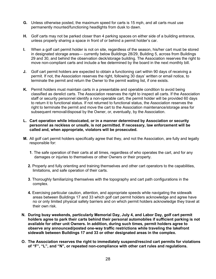- **G.** Unless otherwise posted, the maximum speed for carts is 15 mph, and all carts must use permanently mounted/functioning headlights from dusk to dawn.
- **H.** Golf carts may not be parked closer than 4 parking spaces on either side of a building entrance, unless properly sharing a space in front of or behind a permit holder's car.
- **I.** When a golf cart permit holder is not on site, regardless of the season, his/her cart must be stored in designated storage areas— currently below Buildings 28/29, Building 5, across from Buildings 29 and 30, and behind the observation deck/storage building. The Association reserves the right to move non-compliant carts and include a fee determined by the board in the next monthly bill.
- **J.** Golf cart permit holders are expected to obtain a functioning cart within 90 days of receiving a permit. If not, the Association reserves the right, following 30 days' written or email notice, to terminate the permit and return the Owner to the permit waiting list, if one exists.
- **K.** Permit holders must maintain carts in a presentable and operable condition to avoid being classified as derelict carts. The Association reserves the right to inspect all carts. If the Association staff or security personnel identify a non-operable cart, the permit holder will be provided 60 days to return it to functional status. If not returned to functional status, the Association reserves the right to terminate the permit and move the cart to the Association maintenance/storage area for subsequent removal/disposal by the Owner, or, eventually, by the Association.
- **L. Cart operation while intoxicated, or in a manner determined by Association or security personnel as reckless or unsafe, is not permitted. If necessary, law enforcement will be called and, when appropriate, violators will be prosecuted.**
- **M.** All golf cart permit holders specifically agree that they, and not the Association, are fully and legally responsible for:
	- **1**. The safe operation of their carts at all times, regardless of who operates the cart, and for any damages or injuries to themselves or other Owners or their property.
	- **2.** Properly and fully orienting and training themselves and other cart operators to the capabilities, limitations, and safe operation of their carts.
	- **3**. Thoroughly familiarizing themselves with the topography and cart path configurations in the complex.
	- **4.** Exercising particular caution, attention, and appropriate speeds while navigating the sidewalk areas between Buildings 17 and 33 which golf cart permit holders acknowledge and agree have no or only limited physical safety barriers and on which permit holders acknowledge they travel at their own risk.
- **N. During busy weekends, particularly Memorial Day, July 4, and Labor Day, golf cart permit holders agree to park their carts behind their personal automobiles if sufficient parking is not available for other unit Owners. In addition, during such times, permit holders agree to observe any announced/posted one-way traffic restrictions while traveling the lakefront sidewalk between Buildings 17 and 33 or other designated areas in the complex.**
- **O. The Association reserves the right to immediately suspend/rescind cart permits for violations of "F", "L", and "N", or repeated non-compliance with other cart rules and regulations.**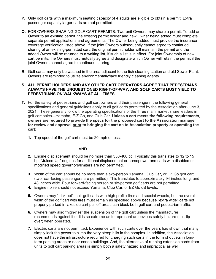- **P.** Only golf carts with a maximum seating capacity of 4 adults are eligible to obtain a permit. Extra passenger capacity larger carts are not permitted.
- **Q.** FOR OWNERS SHARING GOLF CART PERMITS: Two-unit Owners may share a permit. To add an Owner to an existing permit, the existing permit holder and new Owner being added must complete separate permit applications and agreements. The Owner being added must provide the insurance coverage verification listed above. If the joint Owners subsequently cannot agree to continued sharing of an existing-permitted cart, the original permit holder will maintain the permit and the added Owner will be returned to a waiting list, if such a list is in effect. For joint Ownership of new cart permits, the Owners must mutually agree and designate which Owner will retain the permit if the joint Owners cannot agree to continued sharing.
- **R.** Golf carts may only be washed in the area adjacent to the fish cleaning station and old Sewer Plant. Owners are reminded to utilize environmentally/lake friendly cleaning agents.

#### **S. ALL PERMIT HOLDERS AND ANY OTHER CART OPERATORS AGREE THAT PEDESTRIANS ALWAYS HAVE THE UNQUESTIONED RIGHT-OF-WAY, AND GOLF CARTS MUST YIELD TO PEDESTRIANS ON WALKWAYS AT ALL TIMES.**

- **T.** For the safety of pedestrians and golf cart owners and their passengers, the following general specifications and general guidelines apply to all golf carts permitted by the Association after June 3, 2021. These generally follow the operating specifications of the three main market share leaders in golf cart sales—Yamaha, E-Z Go, and Club Car. **Unless a cart meets the following requirements, owners are required to provide the specs for the proposed cart to the Association manager for review and approval prior to bringing the cart on to Association property or operating the cart:**
	- **1.** Top speed of the golf cart must be 20 mph or less.

#### AND

- **2.** Engine displacement should be no more than 350-400 cc. Typically this translates to 12 to 15 hp. "Juiced-Up" engines for additional displacement or horsepower and carts with disabled or modified speed governors/limiters are not permitted.
- **3.** Width of the cart should be no more than a two-person Yamaha, Club Car, or EZ Go golf cart (two rear-facing passengers are permitted). This translates to approximately 94 inches long, and 48 inches wide. Four forward-facing person or six-person golf carts are not permitted.
- **4.** Engine noise should not exceed Yamaha, Club Car, or EZ Go dB levels.
- **5.** Owners may "trick out" their golf carts with high profile tires and special wheels, but the overall width of the golf cart with tires must remain as specified above because "extra wide" carts not properly parked in lakeside cart pull off areas can block both golf cart and pedestrian traffic.
- **6.** Owners may also "high-rise" the suspension of the golf cart unless the manufacturer recommends against it or it is so extreme as to represent an obvious safety hazard (i.e., tip over) when operated.
- **7.** Electric carts are not permitted. Experience with such carts over the years has shown that many simply lack the power to climb the very steep hills in the complex. In addition, the Association does not have the infrastructure required for charging such carts in the form of outlets in longterm parking areas or near condo buildings. And, the alternative of running extension cords from units to golf cart parking areas is simply both a safety hazard and impractical as well.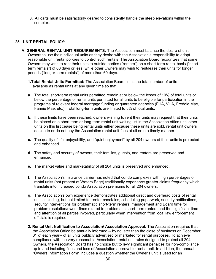**8.** All carts must be satisfactorily geared to consistently handle the steep elevations within the complex.

#### **25. UNIT RENTAL POLICY:**

- **A. GENERAL RENTAL UNIT REQUIREMENTS:** The Association must balance the desire of unit Owners to use their individual units as they desire with the Association's responsibility to adopt reasonable unit rental policies to control such rentals The Association Board recognizes that some Owners may wish to rent their units to outside parties ("renters") on a short-term rental basis ("shortterm rentals") of 60 days or less, while other Owners may wish to rent/lease their units for longer periods ("longer-term rentals") of more than 60 days.
	- **1.Total Rental Units Permitted:** The Association Board limits the total number of units available as rental units at any given time so that:
	- **a.** The total short-term rental units permitted remain at or below the lesser of 10% of total units or below the percentage of rental units permitted for all units to be eligible for participation in the programs of relevant federal mortgage funding or guarantee agencies (FHA, VHA, Freddie Mac, Fannie Mae, etc.). Total long-term units are limited to 5% of total units.
	- **b.** If these limits have been reached, owners wishing to rent their units may request that their units be placed on a short term or long-term rental unit waiting list in the Association office until other units on this list cease being rental units either because these units are sold, rental unit owners decide to or do not pay the Association rental unit fees at all or in a timely manner.
	- **c.** The quality of life, enjoyability, and "quiet enjoyment" by all 204 owners of their units is protected and enhanced.
	- **d.** The safety and security of owners, their families, guests, and renters are preserved and enhanced.
	- **e.** The market value and marketability of all 204 units is preserved and enhanced.
	- **f.** The Association's insurance carrier has noted that condo complexes with high percentages of rental units (not present at Waters Edge) traditionally experience greater claims frequency which translate into increased condo Association premiums for all 204 owners.
	- **g.** The Association's own experience demonstrates additional direct and overhead costs of rental units including, but not limited to, renter check-ins, scheduling paperwork, security notifications, security interventions for problematic short-term renters, management and Board time for problem resolution/owner fines related to problematic short-term renters and the significant time and attention of all parties involved, particularly when intervention from local law enforcement officials is required.
	- **2. Rental Unit Notification to Association/ Association Approval:** The Association requires that the Association Office be annually informed -- by no later than the close of business on December 31 of each year-- of all units publicly advertised or marketed for rental purposes. To achieve compliance with the very reasonable Association rental unit rules designed to protect all 204 Owners, the Association Board has no choice but to levy significant penalties for non-compliance up to and including fines and loss of Association approval to rent a unit. In addition, the annual "Owners Information Form" includes a question whether the Owner's unit is used for an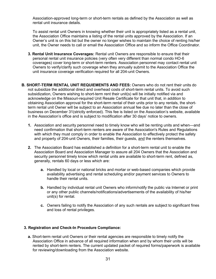Association-approved long-term or short-term rentals as defined by the Association as well as rental unit insurance details.

To assist rental unit Owners in knowing whether their unit is appropriately listed as a rental unit, the Association Office maintains a listing of the rental units approved by the Association. If an Owner's unit is on this list but the owner no longer wishes to maintain the choice of renting his/her unit, the Owner needs to call or email the Association Office and so inform the Office Coordinator.

- **3. Rental Unit Insurance Coverages:** Rental unit Owners are responsible to ensure that their personal rental unit insurance policies (very often very different than normal condo HO-6 coverages) cover long-term or short-term renters. Association personnel may contact rental unit Owners to verify/clarify such coverage when they annually submit to the Association Office the unit insurance coverage verification required for all 204-unit Owners.
- **B. SHORT-TERM RENTAL UNIT REQUIEMENTS AND FEES:** Owners who do not rent their units do not subsidize the additional direct and overhead costs of short-term rental units. To avoid such subsidization, Owners wishing to short-term rent their unit(s) will be initially notified via and acknowledge on the Missouri-required Unit Resale Certificate for that unit that, in addition to obtaining Association approval for the short-term rental of their units prior to any rentals, the shortterm rental unit Owner will be subject to an Association annual fee due no later than the close of business on December 31(strictly enforced). This fee is listed on the Association's website, available in the Association's office and is subject to modification after 30 days' notice to owners.
	- **1.** Association and security personnel need to timely know who will be renting units and when—and need confirmation that short-term renters are aware of the Association's Rules and Regulations with which they must comply in order to enable the Association to effectively protect the safety and property of 204-unit Owners, their families, their guests, and the renters themselves.
	- **2.** The Association Board has established a definition for a short-term rental unit to enable the Association Board and Association Manager to assure all 204 Owners that the Association and security personnel timely know which rental units are available to short-term rent, defined as, generally, rentals 60 days or less which are:
		- **a.** Handled by local or national bricks and mortar or web-based companies which provide availability advertising and rental scheduling and/or payment services to Owners to handle their rental units.
		- **b.** Handled by individual rental unit Owners who inform/notify the public via Internet or print or any other public channels/notifications/advertisements of the availability of his/her unit(s) for rental.
		- **c.** Owners failing to notify the Association of any such rentals are subject to significant fines and loss of rental privileges.

#### **3. Registration and Check-In Procedure Compliance:**

**a.** Short-term rental unit Owners or their rental agencies are responsible to timely notify the Association Office in advance of all required information when and by whom their units will be rented by short-term renters. The current updated packet of required forms/paperwork is available for reviewing/downloading from the Association website.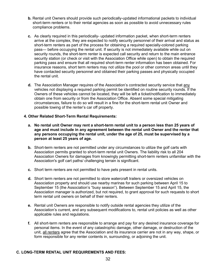- **b.** Rental unit Owners should provide such periodically-updated informational packets to individual short-term renters or to their rental agencies as soon as possible to avoid unnecessary rules compliance problems.
- **c.** As clearly required in this periodically- updated information packet, when short-term renters arrive at the complex, they are expected to notify security personnel of their arrival and status as short-term renters as part of the process for obtaining a required specially-colored parking pass— before occupying the rental unit. If security is not immediately available while out on security rounds, the short-term renter is expected call security and return to the main entrance security station (or check or visit with the Association Office while open) to obtain the required parking pass and ensure that all required short-term renter information has been obtained. For insurance reasons, short term renters may not utilize the pool or other common areas until they have contacted security personnel and obtained their parking passes and physically occupied the rental unit.
- d. The Association Manager requires of the Association's contracted security service that any vehicles not displaying a required parking permit be identified on routine security rounds. If the Owners of these vehicles cannot be located, they will be left a ticket/notification to immediately obtain one from security or from the Association Office. Absent some special mitigating circumstances, failure to do so will result in a fine for the short-term rental unit Owner and possible towing of the renter's car off property.

#### **4. Other Related Short-Term Rental Requirements:**

- **a. No rental unit Owner may rent a short-term rental unit to a person less than 25 years of age and must include in any agreement between the rental unit Owner and the renter that any persons occupying the rental unit, under the age of 25, must be supervised by a person at least 25 years of age.**
- **b.** Short-term renters are not permitted under any circumstances to utilize the golf carts with Association permits granted to short-term rental unit Owners. The liability risk to all 204 Association Owners for damages from knowingly permitting short-term renters unfamiliar with the Association's golf cart paths/ challenging terrain is significant.
- **c.** Short term renters are not permitted to have pets present in rental units.
- **d.** Short term renters are not permitted to store watercraft trailers or oversized vehicles on Association property and should use nearby marinas for such parking between April 15 to September 15 (the Association's "busy season"). Between September 15 and April 15, the Association manager is authorized, but not required, to grant approval for such requests to short term rental unit owners on behalf of their renters.
- **e.** Rental unit Owners are responsible to notify outside rental agencies they utilize of the Association's current, and any subsequent modifications to, rental unit policies as well as other applicable rules and regulations.
- **f.** All short-term renters are responsible to arrange and pay for any desired insurance coverage for personal items. In the event of any catastrophic damage, other damage, or destruction of the unit, all renters agree that the Association and its insurance carrier are not in any way, shape, or form responsible for any renter contents in, surrounding, or adjoining the unit.

#### **C. LONG-TERM RENTAL UNIT REQUIREMENTS AND FEES:**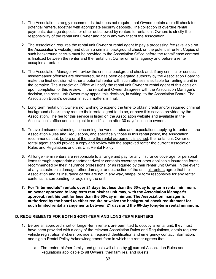- **1.** The Association strongly recommends, but does not require, that Owners obtain a credit check for potential renters, together with appropriate security deposits. The collection of overdue rental payments, damage deposits, or other debts owed by renters to rental unit Owners is strictly the responsibility of the rental unit Owner and not in any way that of the Association.
- **2.** The Association requires the rental unit Owner or rental agent to pay a processing fee (available on the Association's website) and obtain a criminal background check on the potential renter. Copies of such background checks must be provided to the Association Office before the rental/lease contract is finalized between the renter and the rental unit Owner or rental agency and before a renter occupies a rental unit.
- **3.** The Association Manager will review the criminal background check and, if any criminal or serious misdemeanor offenses are discovered, he has been delegated authority by the Association Board to make the final decision whether a potential renter with such offenses is suitable for renting a unit in the complex. The Association Office will notify the rental unit Owner or rental agent of this decision upon completion of this review. If the rental unit Owner disagrees with the Association Manager's decision, the rental unit Owner may appeal this decision, in writing, to the Association Board. The Association Board's decision in such matters is final.
- **4.** Long term rental unit Owners not wishing to expend the time to obtain credit and/or required criminal background checks may require their rental agent to do so, or have this service provided by the Association. The fee for this service is listed on the Association website and available in the Association's office and is subject to modification after 30 days' notice to owners.
- **5.** To avoid misunderstandings concerning the various rules and expectations applying to renters in the Association Rules and Regulations, and specifically those in this rental policy, the Association recommends that, before or at the time the rental agreement is signed, the rental unit Owner or rental agent should provide a copy and review with the approved renter the current Association Rules and Regulations and this Unit Rental Policy.
- **6.** All longer-term renters are responsible to arrange and pay for any insurance coverage for personal items through appropriate apartment dweller contents coverage or other applicable insurance forms recommended by their insurance professional or as required by their renter unit Owner. In the event of any catastrophic damage, other damage, or destruction of the unit, all renters agree that the Association and its insurance carrier are not in any way, shape, or form responsible for any renter contents in, surrounding, or adjoining the unit.
- **7. For "intermediate" rentals over 21 days but less than the 60-day long-term rental minimum, an owner approved to long term rent his/her unit may, with the Association Manager's approval, rent his unit for less than the 60-day minimum. The Association manager is authorized by the board to either require or waive the background check requirement for such limited rental arrangements between 21 days and the 60-day long-term rental minimum.**

#### **D. REQUIREMENTS FOR BOTH SHORT-TERM AND LONG-TERM RENTERS**

- **1.** Before all approved short or longer-term renters are permitted to occupy a rental unit, they must have been provided with a copy of the relevant Association Rules and Regulations, obtain required vehicle registration stickers, provide all required identification and emergency contact information, and sign a Rental Policy Acknowledgement form in which the renter agrees that:
	- **a.** The renter, his/her family, and guests will abide by all current Association Rules and Regulations applicable to all Owners, their families, and guests.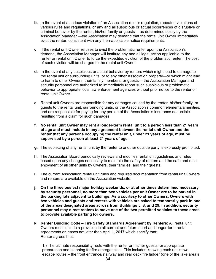- **b.** In the event of a serious violation of an Association rule or regulation, repeated violations of various rules and regulations, or any and all suspicious or actual occurrences of disruptive or criminal behavior by the renter, his/her family or guests— as determined solely by the Association Manager —the Association may demand that the rental unit Owner immediately evict the renter, consistent with any then-applicable notice requirements.
- **c.** If the rental unit Owner refuses to evict the problematic renter upon the Association's demand, the Association Manager will institute any and all legal action applicable to the renter or rental unit Owner to force the expedited eviction of the problematic renter. The cost of such eviction will be charged to the rental unit Owner.
- **d.** In the event of any suspicious or actual behavior by renters which might lead to damage to the rental unit or surrounding units, or to any other Association property—or which might lead to harm to other Owners, their family members, or guests— the Association Manager and security personnel are authorized to immediately report such suspicious or problematic behavior to appropriate local law enforcement agencies without prior notice to the renter or rental unit Owner.
- **e.** Rental unit Owners are responsible for any damages caused by the renter, his/her family, or guests to the rental unit, surrounding units, or the Association's common elements/amenities, and are responsible for paying for any portion of the Association's insurance deductible resulting from a claim for such damages.
- **f. No rental unit Owner may rent a longer-term rental unit to a person less than 21 years of age and must include in any agreement between the rental unit Owner and the renter that any persons occupying the rental unit, under 21 years of age, must be supervised by a person at least 21 years of age.**
- **g.** The subletting of any rental unit by the renter to another outside party is expressly prohibited.
- **h.** The Association Board periodically reviews and modifies rental unit guidelines and rules based upon any changes necessary to maintain the safety of renters and the safe and quiet enjoyment of all other units by Owners, their families, and their guests.
- **i.** The current Association rental unit rules and required documentation from rental unit Owners and renters are available on the Association website.
- **j. On the three busiest major holiday weekends, or at other times determined necessary by security personnel, no more than two vehicles per unit Owner are to be parked in the parking lots adjacent to buildings. As a courtesy to other Owners, Owners with two vehicles and guests and renters with vehicles are asked to temporarily park in one of the areas designated areas across from Buildings 5, 8, and 29. In addition, security personnel may direct renters to move one of the two permitted vehicles to these areas to provide available parking for owners.**
- **k. Renter Building Code – Fire Safety Standards Agreement by Renters**: All rental unit Owners must include a provision in all current and future short and longer-term rental agreements or leases not later than April 1, 2017 which specify that: Renter agrees that:

**1.)** The ultimate responsibility rests with the renter or his/her guests for appropriate preparation and planning for fire emergencies. This includes knowing each unit's two escape routes – the front entrance/stairway and rear deck fire ladder (one of the lake area's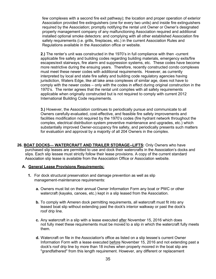few complexes with a second fire exit pathway); the location and proper operation of exterior Association provided fire extinguishers (one for every two units) and inside fire extinguishers required by the Association; promptly notifying the rental unit Owner or Owner's designated property management company of any malfunctioning Association required and additional installed optional smoke detectors: and complying with all other established Association fire safety requirements (i.e. grills, fireplaces, etc.) in the current Association Rules and Regulations available in the Association office or website.

**2.)** The renter's unit was constructed in the 1970's in full compliance with then -current applicable fire safety and building codes regarding building materials, emergency exits/fire escapes/exit stairways, fire alarm and suppression systems, etc. These codes have become more restrictive during the ensuing years. Therefore, recently constructed condo complexes must meet these newer codes with additional requirements. However, as currently interpreted by local and state fire safety and building code regulatory agencies having jurisdiction, Waters Edge, like all lake area complexes of similar age, does not have to comply with the newer codes – only with the codes in effect during original construction in the 1970's. The renter agrees that the rental unit complies with all safety requirements applicable when originally constructed but is not required to comply with current 2012 International Building Code requirements.

**3.)** However, the Association continues to periodically pursue and communicate to all Owners carefully-evaluated, cost-effective, and feasible fire safety improvements and facilities modification not required by the 1970's codes (fire hydrant network throughout the complex, electrical distribution system preventive maintenance and upgrades, etc.) which substantially improved Owner-occupancy fire safety, and periodically presents such matters for evaluation and approval by a majority of all 204 Owners in the complex.

<span id="page-35-0"></span>**26. BOAT DOCKS— WATERCRAFT AND TRAILER STORAGE--LIFTS:** Only Owners who have purchased slip leases are permitted to use and dock their watercrafts in the Association's docks and slips. Each slip lessee must strictly follow their lease provisions. A copy of the current standard Association slip lease is available from the Association Office or Association website.

#### **A. General Lease Provisions Requirements:**

- **1.** For dock structural preservation and damage prevention as well as slip management-maintenance requirements:
	- **a.** Owners must list on their annual Owner Information Form any boat or PWC or other watercraft (kayaks, canoes, etc.) kept in a slip leased from the Association.
	- **b.** To comply with Ameren dock permitting requirements, all watercraft must fit into any leased boat slip without extending past the dock's interior walkway or past the dock's roof drip line.
	- **c.** Any watercraft in a slip with a lease executed after November 15, 2016 which does not fully meet these requirements must be moved to a slip in which the watercraft fully meets them.
	- **d.** Watercraft on file in the Association's office as listed on a slip lessee's current Owner Information Form with a lease executed before November 15, 2016 and not extending past a dock's roof drip line by more than 18 inches when properly moored in the boat slip are "grandfathered" from this length requirement. However, any different or replacement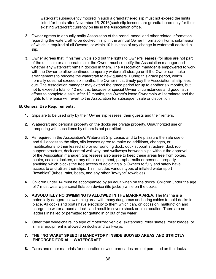watercraft subsequently moored in such a grandfathered slip must not exceed the limits listed for boats after November 15, 2016(such slip lessees are grandfathered only for their existing watercraft currently on file in the Association office.

- **2.** Owner agrees to annually notify Association of the brand, model and other related information regarding the watercraft to be docked in slip in the annual Owner Information Form, submission of which is required of all Owners, or within 10 business of any change in watercraft docked in slip.
- **3.** Owner agrees that, if his/her unit is sold but the rights to Owner's lease(s) for slips are not part of the unit sale or a separate sale, the Owner must so notify the Association manager and whether any watercraft remain docked in them. The Association manager is empowered to work with the Owner to allow continued temporary watercraft storage until the Owner can make arrangements to relocate the watercraft to new quarters. During this grace period, which normally does not exceed six months, the Owner must timely pay the Association all slip fees due. The Association manager may extend the grace period for up to another six months, but not to exceed a total of 12 months, because of special Owner circumstances and good faith efforts to complete a sale. After 12 months, the Owner's lease Ownership will terminate and the rights to the lease will revert to the Association for subsequent sale or disposition.

#### **B. General Use Requirements:**

- **1.** Slips are to be used only by their Owner slip lessees, their guests and their renters.
- **2.** Watercraft and personal property on the docks are private property. Unauthorized use or tampering with such items by others is not permitted.
- **3.** As required in the Association's Watercraft Slip Lease, and to help assure the safe use of and full access to the slips, slip lessees agree to make no additions, changes, or modifications to their leased slip or surrounding dock, dock support structure, dock roof support structure, dock central walkway, and walkways between slips without the approval of the Association manager. Slip lessees also agree to keep these areas free from boxes, chairs, coolers, lockers, or any other equipment, paraphernalia or personal property- anything which blocks the free access of adjoining slip Owners to fully and safely have access to and utilize their slips. This includes various types of inflated water sport "towables" (tubes, rafts, boats, and any other "toy-type" towables).
- **4.** Children under 14 must be accompanied by an adult when on the docks. Children under the age of 7 must wear a personal flotation device (life jacket) while on the docks.
- **5. ABSOLUTELY NO SWIMMING IS ALLOWED IN THE MARINA AREA.** The Marina is a potentially dangerous swimming area with many dangerous anchoring cables to hold docks in place. All docks and boats have electricity to them which can, on occasion, malfunction and charge the water around a dock--and result in severe shock or electrocution. There are no ladders installed or permitted for getting in or out of the water.
- **6.** Other than wheelchairs, no type of motorized vehicle, skateboard, roller skates, roller blades, or similar equipment is allowed on docks and walkways.

#### **7. THE "NO WAKE" SPEED IS MANDATORY INSIDE BUOYED AREAS AND STRICTLY ENFORCED FOR ALL WATERCRAFT.**

**8.** Tarps and other materials for decoration or wind barricades are not permitted on the docks.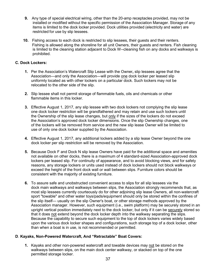- **9.** Any type of special electrical wiring, other than the 20-amp receptacles provided, may not be installed or modified without the specific permission of the Association Manager. Storage of any items is limited to the dock locker provided. Dock utilities provided (electricity and water) are restricted for use by slip lessees.
- **10.** Fishing access to each dock is restricted to slip lessees, their guests and their renters. Fishing is allowed along the shoreline for all unit Owners, their guests and renters. Fish cleaning is limited to the cleaning station adjacent to Dock W--cleaning fish on any docks and walkways is prohibited.

#### **C. Dock Lockers:**

- **1.** Per the Association's Watercraft Slip Lease with the Owner**,** slip lessees agree that the Association—and only the Association—will provide one dock locker per leased slip uniformly located as with other lockers on a particular dock. Such lockers may not be relocated to the other side of the slip.
- **2.** Slip lessee shall not permit storage of flammable fuels, oils and chemicals or other flammable items in this locker.
- **3.** Effective August 1, 2017, any slip lessee with two dock lockers not complying the slip lease one dock locker restriction will be grandfathered and may retain and use such lockers until the Ownership of the slip lease changes, but only if the sizes of the lockers do not exceed the Association's approved dock locker dimensions. Once the slip Ownership changes, one of the lockers will be removed from service and the new slip lease Owner will be limited to use of only one dock locker supplied by the Association.
- **4.** Effective August 1, 2017, any additional lockers added by a slip lease Owner beyond the one dock locker per slip restriction will be removed by the Association.
- **5.** Because Dock F and Dock N slip lease Owners have paid for the additional space and amenities not available on other docks, there is a maximum of 4 standard-sized Association-approved dock lockers per leased slip. For continuity of appearance, and to avoid blocking views, and for safety reasons, any storage lockers or units used instead of dock lockers should not block walkways or exceed the height of the front dock wall or wall between slips. Furniture colors should be consistent with the majority of existing furniture.
- **6.** To assure safe and unobstructed convenient access to slips for all slip lessees via the dock main walkways and walkways between slips, the Association strongly recommends that, as most slip lessees currently courteously do for other adjoining slip lease Owners, all non-watercraft sport "towable" and other water toys/pads/equipment should only be stored within the confines of the slip itself— usually on the slip Owner's boat, or other storage methods approved by the Association manager. However, such equipment (i.e., swim platform) may be securely stored in an upright vertical position immediately next to the dock locker, but only if it can be securely stored so that it does not extend beyond the dock locker depth into the walkway separating the slips. Because the capability to secure such equipment to the top of dock lockers varies widely based upon the various dock locker shapes and configurations, such storage top of a dock locker, other than when a boat is in use, is not recommended or permitted.

#### **D**. **Kayaks, Non-Powered Watercraft, And "Retractable" Boat Covers:**

**1.** Kayaks and other non-powered watercraft and towable devices may not be stored on the walkways between slips, on the main dock center walkway, or stacked on top of the one permitted storage locker.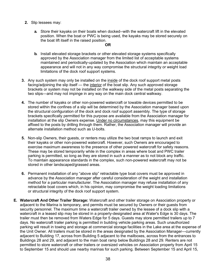- **2.** Slip lessees may:
	- **a.** Store their kayaks on their boats when docked--with the watercraft lift in the elevated position. When the boat or PWC is being used, the kayaks may be stored securely on the boat lift itself in the raised position.

#### **OR**

- **b.** Install elevated storage brackets or other elevated storage systems specifically approved by the Association manager from the limited list of acceptable systems maintained and periodically-updated by the Association which maintain an acceptable appearance and will not in any way compromise the structural integrity or weight load limitations of the dock roof support systems.
- **3.** Any such system may only be installed on the inside of the dock roof support metal posts facing/adjoining the slip itself — the interior of the boat slip. Any such approved storage brackets or system may not be installed on the walkway side of the metal posts separating the two slips—and may not impinge in any way on the main dock central walkway.
- **4.** The number of kayaks or other non-powered watercraft or towable devices permitted to be stored within the confines of a slip will be determined by the Association manager based upon the structural configuration of the dock and dock roof support assembly. The type of storage brackets specifically permitted for this purpose are available from the Association manager for installation at the slip Owners expense. Under no circumstances, may this equipment be affixed to the posts by drilling through them. Rather, the Association manager will provide an alternate installation method such as U-bolts.
- **5.** Non-slip Owners, their guests, or renters may utilize the two boat ramps to launch and exit their kayaks or other non-powered watercraft. However, such Owners are encouraged to exercise maximum awareness to the presence of other powered watercraft for safety reasons. These may be stored temporarily while in the complex in areas where boat and PWC trailer parking is permitted, so long as they are stored in such a manner as to not block any traffic. To maintain appearance standards in the complex, such non-powered watercraft may not be stored in other landscaped/grassed areas.
- **6.** Permanent installation of any "above slip" retractable type boat covers must be approved in advance by the Association manager after careful consideration of the weight and installation method for a particular manufacturer. The Association manager may refuse installation of any retractable boat covers which, in his opinion, may compromise the weight loading limitations or structural integrity of the dock roof support system.
- **E. Watercraft And Other Trailer Storage:** Watercraft and other trailer storage on Association property or adjacent to the Marina is temporary, and permits must be secured by Owners or their guests from security personnel. The maximum time a watercraft trailer owned by the lessee of a dock slip with a watercraft in a leased slip may be stored in a properly-designated area at Water's Edge is 30 days. The trailer must then be removed from Waters Edge for 5 days. Guests may store permitted trailers up to 7 days. No watercraft trailer parking is permitted in building vehicle parking areas. Such unauthorized parking will result in towing and storage at commercial storage facilities in the Lake area at the expense of the Unit Owner. All trailers must be stored in the areas designated by the Association Manager—currently adjacent to Building 17, across from Building 5 adjacent to the mailboxes, across from the entrances to Buildings 28 and 29, and adjacent to the main boat ramp below Buildings 28 and 29. Renters are not permitted to store watercraft or other trailers or oversized vehicles on Association property from April 15 to September 15 and should use nearby marinas for such parking. Between September 15 and April 15,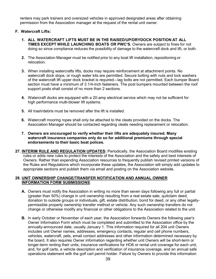renters may park trainers and oversized vehicles in approved designated areas after obtaining permission from the Association manager at the request of the rental unit owner.

#### **F. Watercraft Lifts:**

- **1. ALL WATERCRAFT LIFTS MUST BE IN THE RAISED/UP/DRYDOCK POSITION AT ALL TIMES EXCEPT WHILE LAUNCHING BOATS OR PWC'S.** Owners are subject to fines for not doing so since compliance reduces the possibility of damage to the watercraft dock and lift, or both.
- **2.** The Association Manager must be notified prior to any boat lift installation, repositioning or relocation.
- **3.** When installing watercrafts lifts, docks may require reinforcement at attachment points. No watercraft dock stops, or rough water kits are permitted. Secure bolting with nuts and lock washers of the watercraft lift upper dock bracket is required—lag bolts are not permitted. Each bumper Board section must have a minimum of 3 1/4-inch fasteners. The post bumpers mounted between the roof support posts shall consist of no more than 2 sections.
- **4.** Watercraft docks are equipped with a 20-amp electrical service which may not be sufficient for high performance multi-blower lift systems.
- **5.** All trash/debris must be removed after the lift is installed.
- **6.** Watercraft mooring ropes shall only be attached to the cleats provided on the docks. The Association Manager should be contacted regarding cleats needing replacement or relocation.
- **7. Owners are encouraged to verify whether their lifts are adequately insured. Many watercraft insurance companies only do so for additional premiums through special endorsements to their basic boat polices.**
- <span id="page-39-0"></span>**27. INTERIM RULE AND REGULATION UPDATES:** Periodically, the Association Board modifies existing rules or adds new rules to protect the interests of the Association and the safety and best interests of Owners. Rather than expending Association resources to frequently publish revised printed versions of the Rules and Regulations which incorporate these updates, the Association will simply add updates to appropriate sections and publish them via email and posting on the Association website.

#### **28. UNIT OWNERSHIP CHANGE/TRANSFER NOTIFICATION AND ANNUAL OWNER INFORMATION FORM SUBMISSIONS**:

- **A.** Owners must notify the Association in writing no more than seven days following any full or partial (greater than 50%) change in unit ownership resulting from a real estate sale, quitclaim deed, donation to outside groups or individuals, gift, estate distribution, bond for deed, or any other legallypermissible property ownership transfer method or vehicle. Any such ownership transfers do not change or otherwise modify any financial or other obligations to the Association related to the unit.
- **B.** In early October or November of each year, the Association forwards Owners the following year's Owner Information Form which must be completed and submitted to the Association office by the annually-announced date, usually January 1. This information required for all 204 unit Owners includes unit Owner names, addresses, emergency contacts, regular and cell phone numbers, vehicles, watercraft, pets, email contact addresses and other information determined necessary by the board. It also requires Owner information regarding whether unit Owners will be short-term or longer-term renting their units, insurance verifications for HO6 or rental unit coverage for each unit, and, for golf carts, a vehicle description and verification of insurance coverage, and an annual safe operations statement with the golf cart permit holder. Failure by Owners to provide this information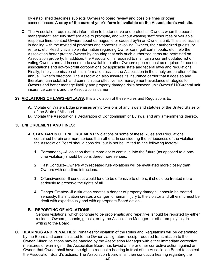by established deadlines subjects Owners to board review and possible fines or other consequences. **A copy of the current year's form is available on the Association's website.**

**C.** The Association requires this information to better serve and protect all Owners when the board, management, security staff are able to promptly, and without wasting staff resources or valuable response time, contact Owners about damages to or caused by/in an Owner's unit. This also assists in dealing with the myriad of problems and concerns involving Owners, their authorized guests, or renters, etc. Readily available information regarding Owner cars, golf carts, boats, etc. help the Association better protect Owners by ensuring that only such authorized items are permitted on Association property. In addition, the Association is required to maintain a current updated list of voting Owners and addresses made available to other Owners upon request as required for condo associations and not-for-profit corporations by applicable state and federal laws and regulations. Finally, timely submission of this information assists the Association in the timely preparation of the annual Owner's directory. The Association also assures its insurance carrier that it does so and, therefore, can establish and communicate effective risk management-avoidance strategies to Owners and better manage liability and property damage risks between unit Owners' HO6/rental unit insurance carriers and the Association's carrier.

#### <span id="page-40-0"></span>**29. VIOLATIONS OF LAWS--BYLAWS:** It is a violation of these Rules and Regulations to:

- **A.** Violate on Waters Edge premises any provisions of any laws and statutes of the United States or of the State of Missouri.
- **B.** Violate the Association's Declaration of Condominium or Bylaws, and any amendments thereto.

#### **30. ENFORCEMENT AND FINES:**

- **A. STANDARDS OF ENFORCEMENT**: Violations of some of these Rules and Regulations contained herein are more serious than others. In considering the seriousness of the violation, the Association Board should consider, but is not be limited to, the following factors:
	- **1.** Permanency--A violation that is more apt to continue into the future (as opposed to a onetime violation) should be considered more serious.
	- **2.** Past Conduct--Owners with repeated rule violations will be evaluated more closely than Owners with one-time infractions.
	- **3.** Offensiveness--If conduct would tend to be offensive to others, it should be treated more seriously to preserve the rights of all.
	- **4.** Danger Created--If a situation creates a danger of property damage, it should be treated seriously. If a situation creates a danger to human injury to the violator and others, it must be dealt with expeditiously and with appropriate Board action.

#### **B. REPORTING OF VIOLATIONS:**

Serious violations, which continue to be problematic and repetitive, should be reported by either resident, Owners, tenants, guests, or by the Association Manager, or other employees, in writing to the Board.

**C. HEARINGS AND PENALTIES**: Penalties for violation of the Rules and Regulations will be determined by the Board and communicated to the Owner via signature-receipt-required transmission to the Owner. Minor violations may be handled by the Association Manager with either immediate corrective measures or warnings. If the Association Board has levied a fine or other corrective action against an Owner, that Owner shall have the right to request a hearing in front of the Association Board to contest the Association Board's actions. The Association Board shall then conduct a hearing regarding the